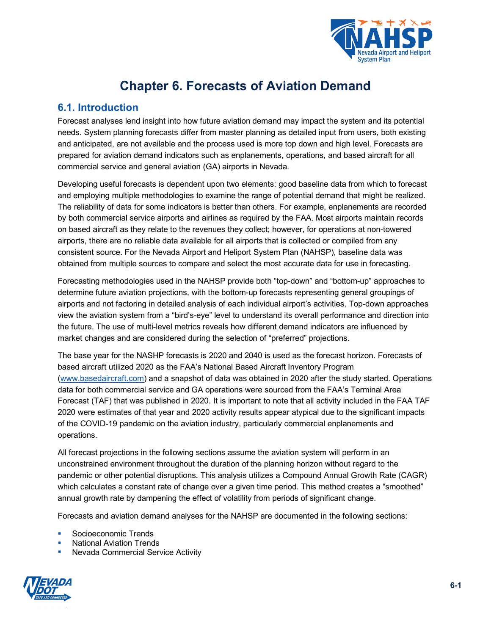

# **Chapter 6. Forecasts of Aviation Demand**

## **6.1. Introduction**

Forecast analyses lend insight into how future aviation demand may impact the system and its potential needs. System planning forecasts differ from master planning as detailed input from users, both existing and anticipated, are not available and the process used is more top down and high level. Forecasts are prepared for aviation demand indicators such as enplanements, operations, and based aircraft for all commercial service and general aviation (GA) airports in Nevada.

Developing useful forecasts is dependent upon two elements: good baseline data from which to forecast and employing multiple methodologies to examine the range of potential demand that might be realized. The reliability of data for some indicators is better than others. For example, enplanements are recorded by both commercial service airports and airlines as required by the FAA. Most airports maintain records on based aircraft as they relate to the revenues they collect; however, for operations at non-towered airports, there are no reliable data available for all airports that is collected or compiled from any consistent source. For the Nevada Airport and Heliport System Plan (NAHSP), baseline data was obtained from multiple sources to compare and select the most accurate data for use in forecasting.

Forecasting methodologies used in the NAHSP provide both "top-down" and "bottom-up" approaches to determine future aviation projections, with the bottom-up forecasts representing general groupings of airports and not factoring in detailed analysis of each individual airport's activities. Top-down approaches view the aviation system from a "bird's-eye" level to understand its overall performance and direction into the future. The use of multi-level metrics reveals how different demand indicators are influenced by market changes and are considered during the selection of "preferred" projections.

The base year for the NASHP forecasts is 2020 and 2040 is used as the forecast horizon. Forecasts of based aircraft utilized 2020 as the FAA's National Based Aircraft Inventory Program [\(www.basedaircraft.com\)](http://www.basedaircraft.com/) and a snapshot of data was obtained in 2020 after the study started. Operations data for both commercial service and GA operations were sourced from the FAA's Terminal Area Forecast (TAF) that was published in 2020. It is important to note that all activity included in the FAA TAF 2020 were estimates of that year and 2020 activity results appear atypical due to the significant impacts of the COVID-19 pandemic on the aviation industry, particularly commercial enplanements and operations.

All forecast projections in the following sections assume the aviation system will perform in an unconstrained environment throughout the duration of the planning horizon without regard to the pandemic or other potential disruptions. This analysis utilizes a Compound Annual Growth Rate (CAGR) which calculates a constant rate of change over a given time period. This method creates a "smoothed" annual growth rate by dampening the effect of volatility from periods of significant change.

Forecasts and aviation demand analyses for the NAHSP are documented in the following sections:

- Socioeconomic Trends
- National Aviation Trends
- Nevada Commercial Service Activity

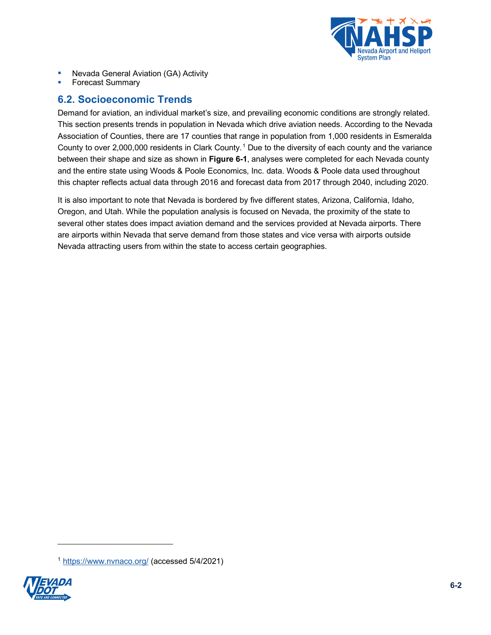

- Nevada General Aviation (GA) Activity
- Forecast Summary

## <span id="page-1-2"></span>**6.2. Socioeconomic Trends**

Demand for aviation, an individual market's size, and prevailing economic conditions are strongly related. This section presents trends in population in Nevada which drive aviation needs. According to the Nevada Association of Counties, there are 17 counties that range in population from 1,000 residents in Esmeralda County to over 2,000,000 residents in Clark County. [1](#page-1-1) Due to the diversity of each county and the variance between their shape and size as shown in **[Figure](#page-1-0) 6-1**, analyses were completed for each Nevada county and the entire state using Woods & Poole Economics, Inc. data. Woods & Poole data used throughout this chapter reflects actual data through 2016 and forecast data from 2017 through 2040, including 2020.

<span id="page-1-0"></span>It is also important to note that Nevada is bordered by five different states, Arizona, California, Idaho, Oregon, and Utah. While the population analysis is focused on Nevada, the proximity of the state to several other states does impact aviation demand and the services provided at Nevada airports. There are airports within Nevada that serve demand from those states and vice versa with airports outside Nevada attracting users from within the state to access certain geographies.

<span id="page-1-1"></span><sup>1</sup> <https://www.nvnaco.org/> (accessed 5/4/2021)

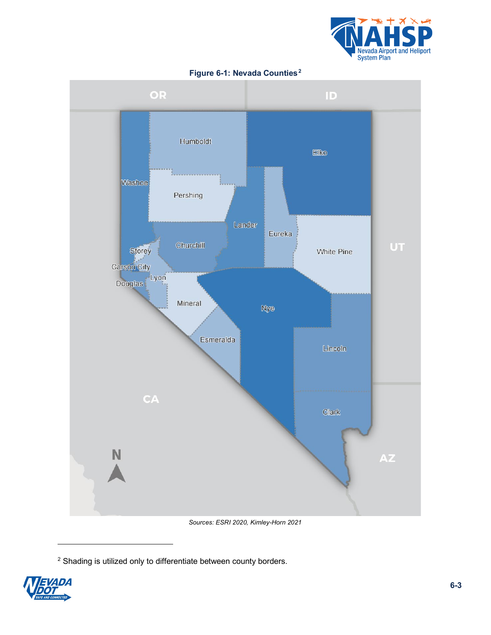



**Figure 6-1: Nevada Counties[2](#page-2-0)**

*Sources: ESRI 2020, Kimley-Horn 2021*

<span id="page-2-0"></span><sup>2</sup> Shading is utilized only to differentiate between county borders.

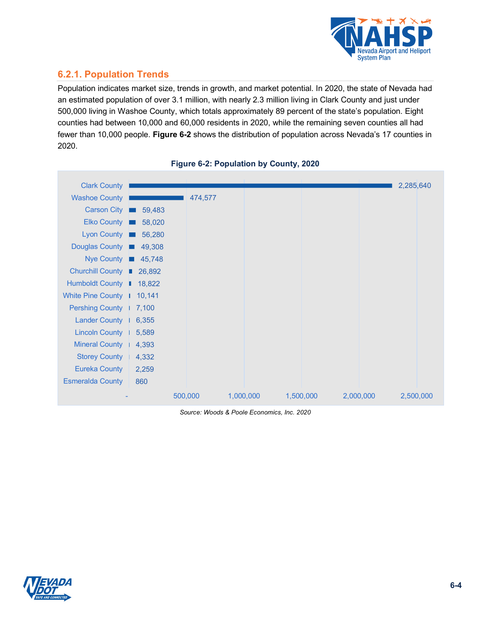

## **6.2.1. Population Trends**

Population indicates market size, trends in growth, and market potential. In 2020, the state of Nevada had an estimated population of over 3.1 million, with nearly 2.3 million living in Clark County and just under 500,000 living in Washoe County, which totals approximately 89 percent of the state's population. Eight counties had between 10,000 and 60,000 residents in 2020, while the remaining seven counties all had fewer than 10,000 people. **[Figure 6-2](#page-3-0)** shows the distribution of population across Nevada's 17 counties in 2020.

<span id="page-3-0"></span>



*Source: Woods & Poole Economics, Inc. 2020*

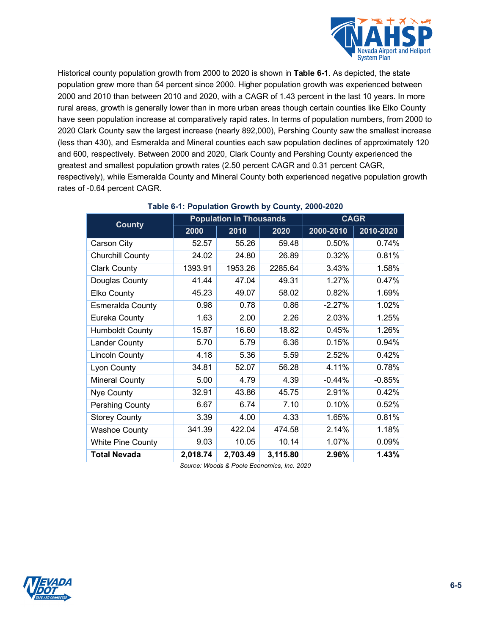

Historical county population growth from 2000 to 2020 is shown in **[Table 6-1](#page-4-0)**. As depicted, the state population grew more than 54 percent since 2000. Higher population growth was experienced between 2000 and 2010 than between 2010 and 2020, with a CAGR of 1.43 percent in the last 10 years. In more rural areas, growth is generally lower than in more urban areas though certain counties like Elko County have seen population increase at comparatively rapid rates. In terms of population numbers, from 2000 to 2020 Clark County saw the largest increase (nearly 892,000), Pershing County saw the smallest increase (less than 430), and Esmeralda and Mineral counties each saw population declines of approximately 120 and 600, respectively. Between 2000 and 2020, Clark County and Pershing County experienced the greatest and smallest population growth rates (2.50 percent CAGR and 0.31 percent CAGR, respectively), while Esmeralda County and Mineral County both experienced negative population growth rates of -0.64 percent CAGR.

<span id="page-4-0"></span>

| <b>County</b>            |          | <b>Population in Thousands</b> | <b>CAGR</b> |           |           |
|--------------------------|----------|--------------------------------|-------------|-----------|-----------|
|                          | 2000     | 2010<br>2020                   |             | 2000-2010 | 2010-2020 |
| Carson City              | 52.57    | 55.26                          | 59.48       | 0.50%     | 0.74%     |
| <b>Churchill County</b>  | 24.02    | 24.80                          | 26.89       | 0.32%     | 0.81%     |
| <b>Clark County</b>      | 1393.91  | 1953.26                        | 2285.64     | 3.43%     | 1.58%     |
| Douglas County           | 41.44    | 47.04                          | 49.31       | 1.27%     | 0.47%     |
| Elko County              | 45.23    | 49.07                          | 58.02       | 0.82%     | 1.69%     |
| <b>Esmeralda County</b>  | 0.98     | 0.78                           | 0.86        | $-2.27%$  | 1.02%     |
| Eureka County            | 1.63     | 2.00                           | 2.26        | 2.03%     | 1.25%     |
| <b>Humboldt County</b>   | 15.87    | 16.60                          | 18.82       | 0.45%     | 1.26%     |
| <b>Lander County</b>     | 5.70     | 5.79                           | 6.36        | 0.15%     | 0.94%     |
| <b>Lincoln County</b>    | 4.18     | 5.36                           | 5.59        | 2.52%     | 0.42%     |
| Lyon County              | 34.81    | 52.07                          | 56.28       | 4.11%     | 0.78%     |
| <b>Mineral County</b>    | 5.00     | 4.79                           | 4.39        | $-0.44%$  | $-0.85%$  |
| Nye County               | 32.91    | 43.86                          | 45.75       | 2.91%     | 0.42%     |
| <b>Pershing County</b>   | 6.67     | 6.74                           | 7.10        | 0.10%     | 0.52%     |
| <b>Storey County</b>     | 3.39     | 4.00                           | 4.33        | 1.65%     | 0.81%     |
| <b>Washoe County</b>     | 341.39   | 422.04                         | 474.58      | 2.14%     | 1.18%     |
| <b>White Pine County</b> | 9.03     | 10.05                          | 10.14       | 1.07%     | 0.09%     |
| <b>Total Nevada</b>      | 2,018.74 | 2,703.49                       | 3,115.80    | 2.96%     | 1.43%     |

## **Table 6-1: Population Growth by County, 2000-2020**

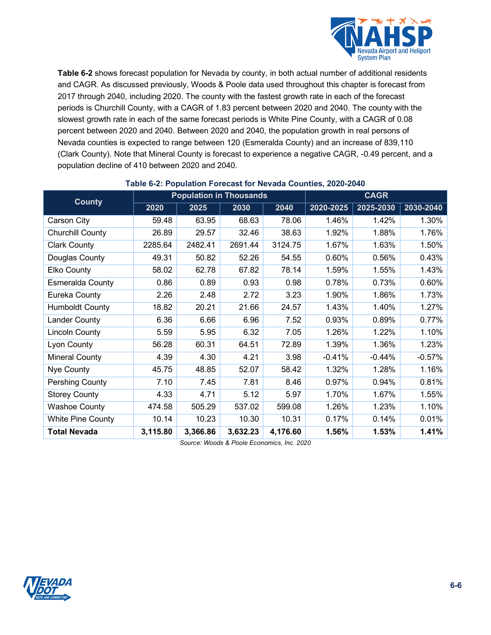

**[Table 6-2](#page-5-1)** shows forecast population for Nevada by county, in both actual number of additional residents and CAGR. As discussed previously, Woods & Poole data used throughout this chapter is forecast from 2017 through 2040, including 2020. The county with the fastest growth rate in each of the forecast periods is Churchill County, with a CAGR of 1.83 percent between 2020 and 2040. The county with the slowest growth rate in each of the same forecast periods is White Pine County, with a CAGR of 0.08 percent between 2020 and 2040. Between 2020 and 2040, the population growth in real persons of Nevada counties is expected to range between 120 (Esmeralda County) and an increase of 839,110 (Clark County). Note that Mineral County is forecast to experience a negative CAGR, -0.49 percent, and a population decline of 410 between 2020 and 2040.

<span id="page-5-1"></span>

| <b>County</b>            | <b>Population in Thousands</b> |          |          |          | <b>CAGR</b> |           |           |
|--------------------------|--------------------------------|----------|----------|----------|-------------|-----------|-----------|
|                          | 2020                           | 2025     | 2030     | 2040     | 2020-2025   | 2025-2030 | 2030-2040 |
| Carson City              | 59.48                          | 63.95    | 68.63    | 78.06    | 1.46%       | 1.42%     | 1.30%     |
| Churchill County         | 26.89                          | 29.57    | 32.46    | 38.63    | 1.92%       | 1.88%     | 1.76%     |
| <b>Clark County</b>      | 2285.64                        | 2482.41  | 2691.44  | 3124.75  | 1.67%       | 1.63%     | 1.50%     |
| Douglas County           | 49.31                          | 50.82    | 52.26    | 54.55    | 0.60%       | 0.56%     | 0.43%     |
| Elko County              | 58.02                          | 62.78    | 67.82    | 78.14    | 1.59%       | 1.55%     | 1.43%     |
| <b>Esmeralda County</b>  | 0.86                           | 0.89     | 0.93     | 0.98     | 0.78%       | 0.73%     | 0.60%     |
| Eureka County            | 2.26                           | 2.48     | 2.72     | 3.23     | 1.90%       | 1.86%     | 1.73%     |
| <b>Humboldt County</b>   | 18.82                          | 20.21    | 21.66    | 24.57    | 1.43%       | 1.40%     | 1.27%     |
| <b>Lander County</b>     | 6.36                           | 6.66     | 6.96     | 7.52     | 0.93%       | 0.89%     | 0.77%     |
| Lincoln County           | 5.59                           | 5.95     | 6.32     | 7.05     | 1.26%       | 1.22%     | 1.10%     |
| Lyon County              | 56.28                          | 60.31    | 64.51    | 72.89    | 1.39%       | 1.36%     | 1.23%     |
| Mineral County           | 4.39                           | 4.30     | 4.21     | 3.98     | $-0.41%$    | $-0.44%$  | $-0.57%$  |
| Nye County               | 45.75                          | 48.85    | 52.07    | 58.42    | 1.32%       | 1.28%     | 1.16%     |
| Pershing County          | 7.10                           | 7.45     | 7.81     | 8.46     | 0.97%       | 0.94%     | 0.81%     |
| <b>Storey County</b>     | 4.33                           | 4.71     | 5.12     | 5.97     | 1.70%       | 1.67%     | 1.55%     |
| <b>Washoe County</b>     | 474.58                         | 505.29   | 537.02   | 599.08   | 1.26%       | 1.23%     | 1.10%     |
| <b>White Pine County</b> | 10.14                          | 10.23    | 10.30    | 10.31    | 0.17%       | 0.14%     | 0.01%     |
| <b>Total Nevada</b>      | 3,115.80                       | 3,366.86 | 3,632.23 | 4,176.60 | 1.56%       | 1.53%     | 1.41%     |

#### <span id="page-5-0"></span>**Table 6-2: Population Forecast for Nevada Counties, 2020-2040**

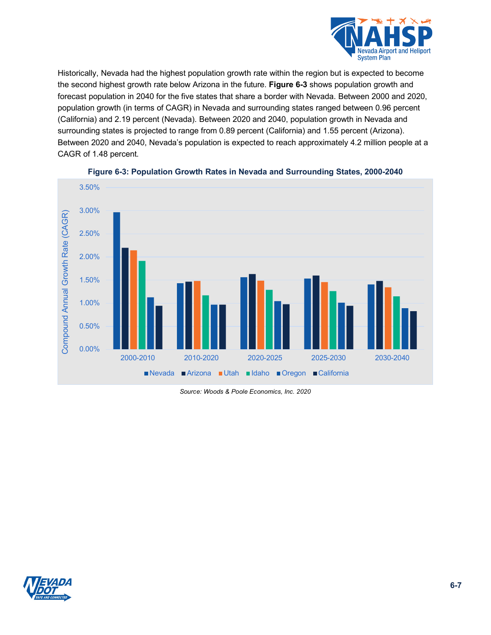

Historically, Nevada had the highest population growth rate within the region but is expected to become the second highest growth rate below Arizona in the future. **[Figure 6-3](#page-6-0)** shows population growth and forecast population in 2040 for the five states that share a border with Nevada. Between 2000 and 2020, population growth (in terms of CAGR) in Nevada and surrounding states ranged between 0.96 percent (California) and 2.19 percent (Nevada). Between 2020 and 2040, population growth in Nevada and surrounding states is projected to range from 0.89 percent (California) and 1.55 percent (Arizona). Between 2020 and 2040, Nevada's population is expected to reach approximately 4.2 million people at a CAGR of 1.48 percent.

<span id="page-6-0"></span>

#### **Figure 6-3: Population Growth Rates in Nevada and Surrounding States, 2000-2040**

*Source: Woods & Poole Economics, Inc. 2020*

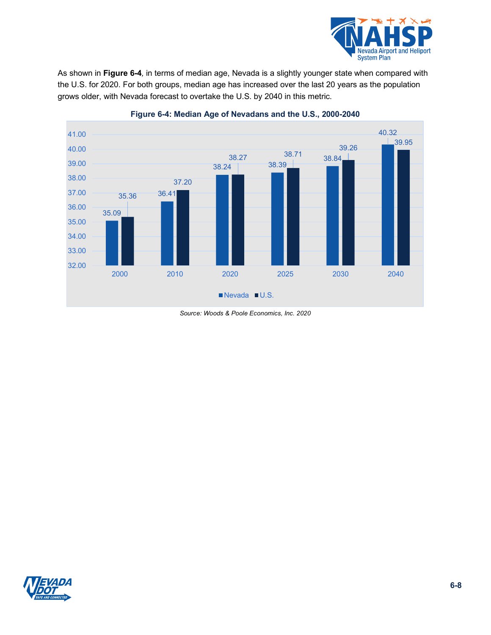

As shown in **[Figure 6-4](#page-7-0)***,* in terms of median age, Nevada is a slightly younger state when compared with the U.S. for 2020. For both groups, median age has increased over the last 20 years as the population grows older, with Nevada forecast to overtake the U.S. by 2040 in this metric.

<span id="page-7-0"></span>

**Figure 6-4: Median Age of Nevadans and the U.S., 2000-2040**

*Source: Woods & Poole Economics, Inc. 2020*

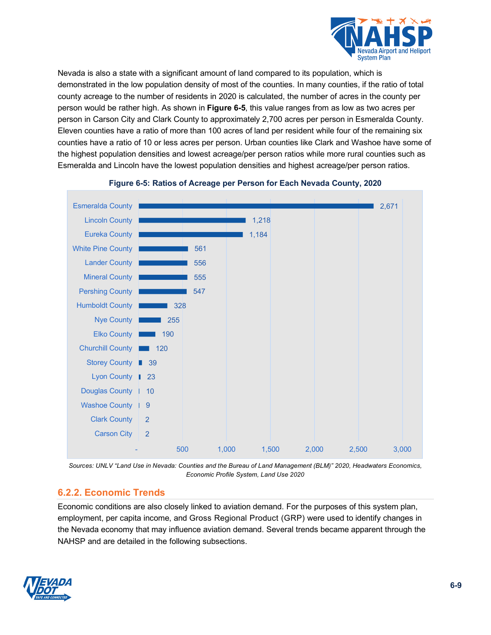

Nevada is also a state with a significant amount of land compared to its population, which is demonstrated in the low population density of most of the counties. In many counties, if the ratio of total county acreage to the number of residents in 2020 is calculated, the number of acres in the county per person would be rather high. As shown in **[Figure 6-5](#page-8-0)**, this value ranges from as low as two acres per person in Carson City and Clark County to approximately 2,700 acres per person in Esmeralda County. Eleven counties have a ratio of more than 100 acres of land per resident while four of the remaining six counties have a ratio of 10 or less acres per person. Urban counties like Clark and Washoe have some of the highest population densities and lowest acreage/per person ratios while more rural counties such as Esmeralda and Lincoln have the lowest population densities and highest acreage/per person ratios.

<span id="page-8-0"></span>

## **Figure 6-5: Ratios of Acreage per Person for Each Nevada County, 2020**

*Sources: UNLV "Land Use in Nevada: Counties and the Bureau of Land Management (BLM)" 2020, Headwaters Economics, Economic Profile System, Land Use 2020*

## **6.2.2. Economic Trends**

Economic conditions are also closely linked to aviation demand. For the purposes of this system plan, employment, per capita income, and Gross Regional Product (GRP) were used to identify changes in the Nevada economy that may influence aviation demand. Several trends became apparent through the NAHSP and are detailed in the following subsections.

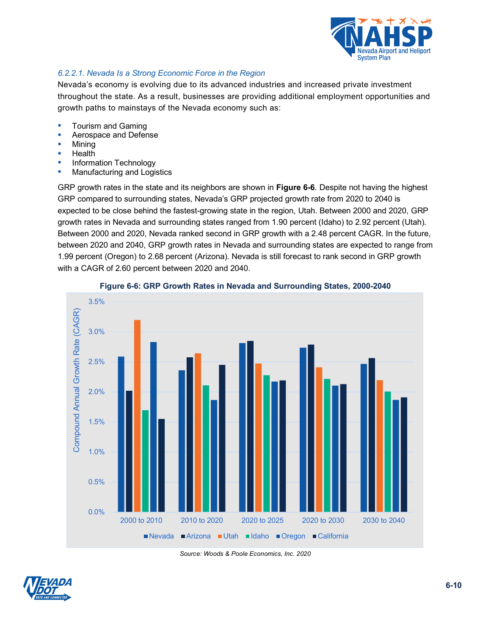

### *6.2.2.1. Nevada Is a Strong Economic Force in the Region*

Nevada's economy is evolving due to its advanced industries and increased private investment throughout the state. As a result, businesses are providing additional employment opportunities and growth paths to mainstays of the Nevada economy such as:

- Tourism and Gaming
- Aerospace and Defense
- Mining
- Health
- **Information Technology**
- **Manufacturing and Logistics**

GRP growth rates in the state and its neighbors are shown in **[Figure 6-6](#page-9-0)***.* Despite not having the highest GRP compared to surrounding states, Nevada's GRP projected growth rate from 2020 to 2040 is expected to be close behind the fastest-growing state in the region, Utah. Between 2000 and 2020, GRP growth rates in Nevada and surrounding states ranged from 1.90 percent (Idaho) to 2.92 percent (Utah). Between 2000 and 2020, Nevada ranked second in GRP growth with a 2.48 percent CAGR. In the future, between 2020 and 2040, GRP growth rates in Nevada and surrounding states are expected to range from 1.99 percent (Oregon) to 2.68 percent (Arizona). Nevada is still forecast to rank second in GRP growth with a CAGR of 2.60 percent between 2020 and 2040.

<span id="page-9-0"></span>

#### **Figure 6-6: GRP Growth Rates in Nevada and Surrounding States, 2000-2040**

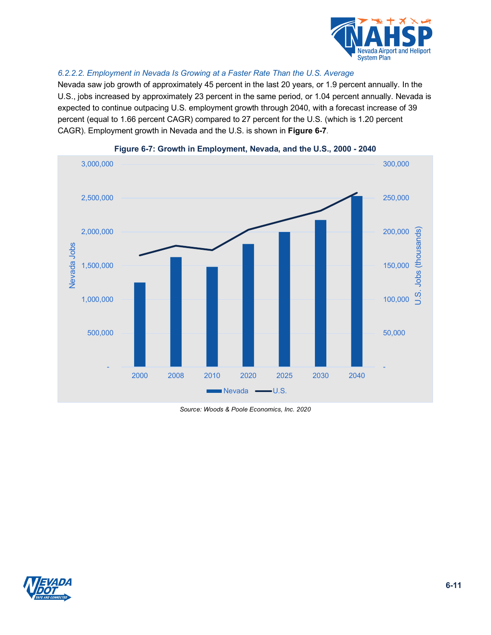

#### *6.2.2.2. Employment in Nevada Is Growing at a Faster Rate Than the U.S. Average*

Nevada saw job growth of approximately 45 percent in the last 20 years, or 1.9 percent annually. In the U.S., jobs increased by approximately 23 percent in the same period, or 1.04 percent annually. Nevada is expected to continue outpacing U.S. employment growth through 2040, with a forecast increase of 39 percent (equal to 1.66 percent CAGR) compared to 27 percent for the U.S. (which is 1.20 percent CAGR). Employment growth in Nevada and the U.S. is shown in **[Figure 6-7](#page-10-0)***.*

<span id="page-10-0"></span>



*Source: Woods & Poole Economics, Inc. 2020*

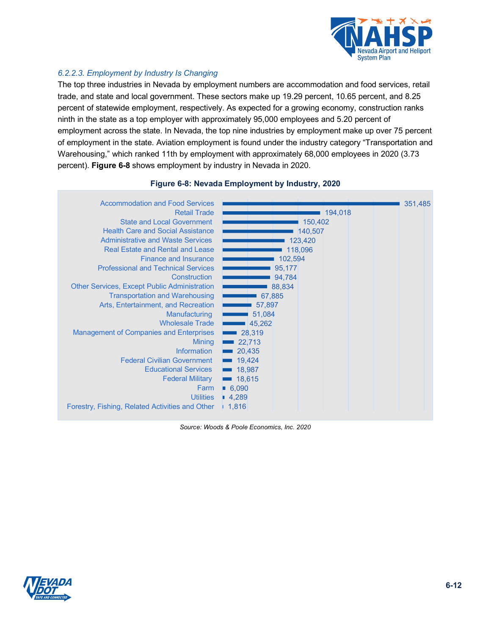

#### *6.2.2.3. Employment by Industry Is Changing*

The top three industries in Nevada by employment numbers are accommodation and food services, retail trade, and state and local government. These sectors make up 19.29 percent, 10.65 percent, and 8.25 percent of statewide employment, respectively. As expected for a growing economy, construction ranks ninth in the state as a top employer with approximately 95,000 employees and 5.20 percent of employment across the state. In Nevada, the top nine industries by employment make up over 75 percent of employment in the state. Aviation employment is found under the industry category "Transportation and Warehousing," which ranked 11th by employment with approximately 68,000 employees in 2020 (3.73 percent). **[Figure 6-8](#page-11-0)** shows employment by industry in Nevada in 2020.

<span id="page-11-0"></span>

#### **Figure 6-8: Nevada Employment by Industry, 2020**

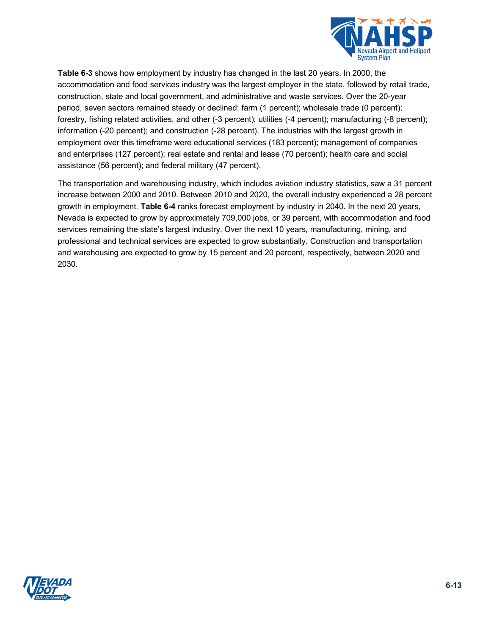

**[Table 6-3](#page-12-0)** shows how employment by industry has changed in the last 20 years. In 2000, the accommodation and food services industry was the largest employer in the state, followed by retail trade, construction, state and local government, and administrative and waste services. Over the 20-year period, seven sectors remained steady or declined: farm (1 percent); wholesale trade (0 percent); forestry, fishing related activities, and other (-3 percent); utilities (-4 percent); manufacturing (-8 percent); information (-20 percent); and construction (-28 percent). The industries with the largest growth in employment over this timeframe were educational services (183 percent); management of companies and enterprises (127 percent); real estate and rental and lease (70 percent); health care and social assistance (56 percent); and federal military (47 percent).

<span id="page-12-0"></span>The transportation and warehousing industry, which includes aviation industry statistics, saw a 31 percent increase between 2000 and 2010. Between 2010 and 2020, the overall industry experienced a 28 percent growth in employment*.* **[Table 6-4](#page-13-0)** ranks forecast employment by industry in 2040. In the next 20 years, Nevada is expected to grow by approximately 709,000 jobs, or 39 percent, with accommodation and food services remaining the state's largest industry. Over the next 10 years, manufacturing, mining, and professional and technical services are expected to grow substantially. Construction and transportation and warehousing are expected to grow by 15 percent and 20 percent, respectively, between 2020 and 2030.

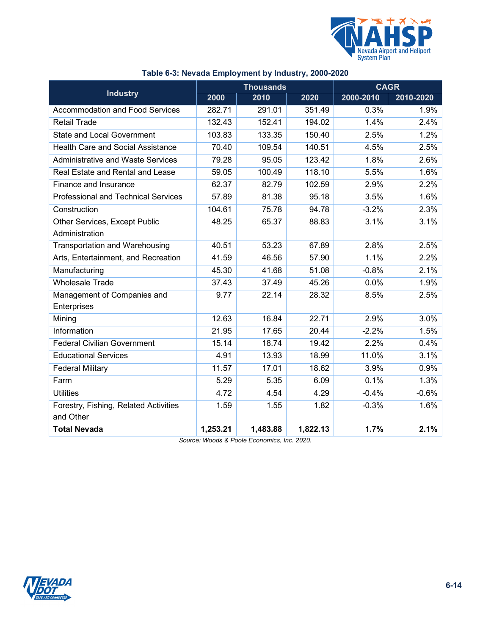

|                                            |          | <b>Thousands</b> |          | <b>CAGR</b> |           |
|--------------------------------------------|----------|------------------|----------|-------------|-----------|
| <b>Industry</b>                            | 2000     | 2010             | 2020     | 2000-2010   | 2010-2020 |
| <b>Accommodation and Food Services</b>     | 282.71   | 291.01           | 351.49   | 0.3%        | 1.9%      |
| Retail Trade                               | 132.43   | 152.41           | 194.02   | 1.4%        | 2.4%      |
| <b>State and Local Government</b>          | 103.83   | 133.35           | 150.40   | 2.5%        | 1.2%      |
| <b>Health Care and Social Assistance</b>   | 70.40    | 109.54           | 140.51   | 4.5%        | 2.5%      |
| <b>Administrative and Waste Services</b>   | 79.28    | 95.05            | 123.42   | 1.8%        | 2.6%      |
| Real Estate and Rental and Lease           | 59.05    | 100.49           | 118.10   | 5.5%        | 1.6%      |
| Finance and Insurance                      | 62.37    | 82.79            | 102.59   | 2.9%        | 2.2%      |
| <b>Professional and Technical Services</b> | 57.89    | 81.38            | 95.18    | 3.5%        | 1.6%      |
| Construction                               | 104.61   | 75.78            | 94.78    | $-3.2%$     | 2.3%      |
| Other Services, Except Public              | 48.25    | 65.37            | 88.83    | 3.1%        | 3.1%      |
| Administration                             |          |                  |          |             |           |
| <b>Transportation and Warehousing</b>      | 40.51    | 53.23            | 67.89    | 2.8%        | 2.5%      |
| Arts, Entertainment, and Recreation        | 41.59    | 46.56            | 57.90    | 1.1%        | 2.2%      |
| Manufacturing                              | 45.30    | 41.68            | 51.08    | $-0.8%$     | 2.1%      |
| <b>Wholesale Trade</b>                     | 37.43    | 37.49            | 45.26    | 0.0%        | 1.9%      |
| Management of Companies and                | 9.77     | 22.14            | 28.32    | 8.5%        | 2.5%      |
| Enterprises                                |          |                  |          |             |           |
| Mining                                     | 12.63    | 16.84            | 22.71    | 2.9%        | 3.0%      |
| Information                                | 21.95    | 17.65            | 20.44    | $-2.2%$     | 1.5%      |
| <b>Federal Civilian Government</b>         | 15.14    | 18.74            | 19.42    | 2.2%        | 0.4%      |
| <b>Educational Services</b>                | 4.91     | 13.93            | 18.99    | 11.0%       | 3.1%      |
| <b>Federal Military</b>                    | 11.57    | 17.01            | 18.62    | 3.9%        | 0.9%      |
| Farm                                       | 5.29     | 5.35             | 6.09     | 0.1%        | 1.3%      |
| <b>Utilities</b>                           | 4.72     | 4.54             | 4.29     | $-0.4%$     | $-0.6%$   |
| Forestry, Fishing, Related Activities      | 1.59     | 1.55             | 1.82     | $-0.3%$     | 1.6%      |
| and Other                                  |          |                  |          |             |           |
| <b>Total Nevada</b>                        | 1,253.21 | 1,483.88         | 1,822.13 | 1.7%        | 2.1%      |

## **Table 6-3: Nevada Employment by Industry, 2000-2020**

<span id="page-13-0"></span>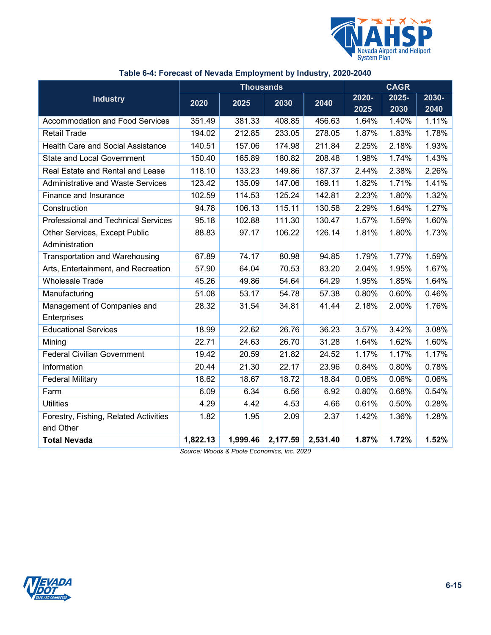

|                                            |          | <b>Thousands</b> | <b>CAGR</b> |          |       |       |       |
|--------------------------------------------|----------|------------------|-------------|----------|-------|-------|-------|
| <b>Industry</b>                            | 2020     |                  |             |          | 2020- | 2025- | 2030- |
|                                            |          | 2025             | 2030        | 2040     | 2025  | 2030  | 2040  |
| <b>Accommodation and Food Services</b>     | 351.49   | 381.33           | 408.85      | 456.63   | 1.64% | 1.40% | 1.11% |
| <b>Retail Trade</b>                        | 194.02   | 212.85           | 233.05      | 278.05   | 1.87% | 1.83% | 1.78% |
| <b>Health Care and Social Assistance</b>   | 140.51   | 157.06           | 174.98      | 211.84   | 2.25% | 2.18% | 1.93% |
| <b>State and Local Government</b>          | 150.40   | 165.89           | 180.82      | 208.48   | 1.98% | 1.74% | 1.43% |
| Real Estate and Rental and Lease           | 118.10   | 133.23           | 149.86      | 187.37   | 2.44% | 2.38% | 2.26% |
| <b>Administrative and Waste Services</b>   | 123.42   | 135.09           | 147.06      | 169.11   | 1.82% | 1.71% | 1.41% |
| Finance and Insurance                      | 102.59   | 114.53           | 125.24      | 142.81   | 2.23% | 1.80% | 1.32% |
| Construction                               | 94.78    | 106.13           | 115.11      | 130.58   | 2.29% | 1.64% | 1.27% |
| <b>Professional and Technical Services</b> | 95.18    | 102.88           | 111.30      | 130.47   | 1.57% | 1.59% | 1.60% |
| Other Services, Except Public              | 88.83    | 97.17            | 106.22      | 126.14   | 1.81% | 1.80% | 1.73% |
| Administration                             |          |                  |             |          |       |       |       |
| <b>Transportation and Warehousing</b>      | 67.89    | 74.17            | 80.98       | 94.85    | 1.79% | 1.77% | 1.59% |
| Arts, Entertainment, and Recreation        | 57.90    | 64.04            | 70.53       | 83.20    | 2.04% | 1.95% | 1.67% |
| <b>Wholesale Trade</b>                     | 45.26    | 49.86            | 54.64       | 64.29    | 1.95% | 1.85% | 1.64% |
| Manufacturing                              | 51.08    | 53.17            | 54.78       | 57.38    | 0.80% | 0.60% | 0.46% |
| Management of Companies and                | 28.32    | 31.54            | 34.81       | 41.44    | 2.18% | 2.00% | 1.76% |
| Enterprises                                |          |                  |             |          |       |       |       |
| <b>Educational Services</b>                | 18.99    | 22.62            | 26.76       | 36.23    | 3.57% | 3.42% | 3.08% |
| Mining                                     | 22.71    | 24.63            | 26.70       | 31.28    | 1.64% | 1.62% | 1.60% |
| <b>Federal Civilian Government</b>         | 19.42    | 20.59            | 21.82       | 24.52    | 1.17% | 1.17% | 1.17% |
| Information                                | 20.44    | 21.30            | 22.17       | 23.96    | 0.84% | 0.80% | 0.78% |
| <b>Federal Military</b>                    | 18.62    | 18.67            | 18.72       | 18.84    | 0.06% | 0.06% | 0.06% |
| Farm                                       | 6.09     | 6.34             | 6.56        | 6.92     | 0.80% | 0.68% | 0.54% |
| <b>Utilities</b>                           | 4.29     | 4.42             | 4.53        | 4.66     | 0.61% | 0.50% | 0.28% |
| Forestry, Fishing, Related Activities      | 1.82     | 1.95             | 2.09        | 2.37     | 1.42% | 1.36% | 1.28% |
| and Other                                  |          |                  |             |          |       |       |       |
| <b>Total Nevada</b>                        | 1,822.13 | 1,999.46         | 2,177.59    | 2,531.40 | 1.87% | 1.72% | 1.52% |

## **Table 6-4: Forecast of Nevada Employment by Industry, 2020-2040**

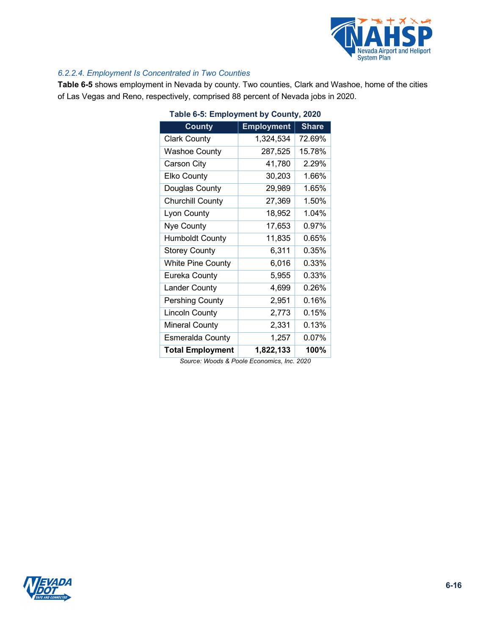

#### *6.2.2.4. Employment Is Concentrated in Two Counties*

<span id="page-15-0"></span>**[Table 6-5](#page-15-0)** shows employment in Nevada by county. Two counties, Clark and Washoe, home of the cities of Las Vegas and Reno, respectively, comprised 88 percent of Nevada jobs in 2020.

| Table 6-5: Employment by County, 2020 |                   |              |  |  |  |  |  |
|---------------------------------------|-------------------|--------------|--|--|--|--|--|
| <b>County</b>                         | <b>Employment</b> | <b>Share</b> |  |  |  |  |  |
| <b>Clark County</b>                   | 1,324,534         | 72.69%       |  |  |  |  |  |
| <b>Washoe County</b>                  | 287,525           | 15.78%       |  |  |  |  |  |
| Carson City                           | 41,780            | 2.29%        |  |  |  |  |  |
| <b>Elko County</b>                    | 30,203            | 1.66%        |  |  |  |  |  |
| Douglas County                        | 29,989            | 1.65%        |  |  |  |  |  |
| <b>Churchill County</b>               | 27,369            | 1.50%        |  |  |  |  |  |
| Lyon County                           | 18,952            | 1.04%        |  |  |  |  |  |
| Nye County                            | 17,653            | 0.97%        |  |  |  |  |  |
| <b>Humboldt County</b>                | 11,835            | 0.65%        |  |  |  |  |  |
| <b>Storey County</b>                  | 6,311             | 0.35%        |  |  |  |  |  |
| <b>White Pine County</b>              | 6,016             | 0.33%        |  |  |  |  |  |
| Eureka County                         | 5,955             | 0.33%        |  |  |  |  |  |
| <b>Lander County</b>                  | 4,699             | 0.26%        |  |  |  |  |  |
| Pershing County                       | 2,951             | 0.16%        |  |  |  |  |  |
| <b>Lincoln County</b>                 | 2,773             | 0.15%        |  |  |  |  |  |
| <b>Mineral County</b>                 | 2,331             | 0.13%        |  |  |  |  |  |
| Esmeralda County                      | 1,257             | 0.07%        |  |  |  |  |  |
| <b>Total Employment</b>               | 1,822,133         | 100%         |  |  |  |  |  |

| Table 6-5: Employment by County, 2020                                                                           |  |  |
|-----------------------------------------------------------------------------------------------------------------|--|--|
| in the contract of the contract of the contract of the contract of the contract of the contract of the contract |  |  |

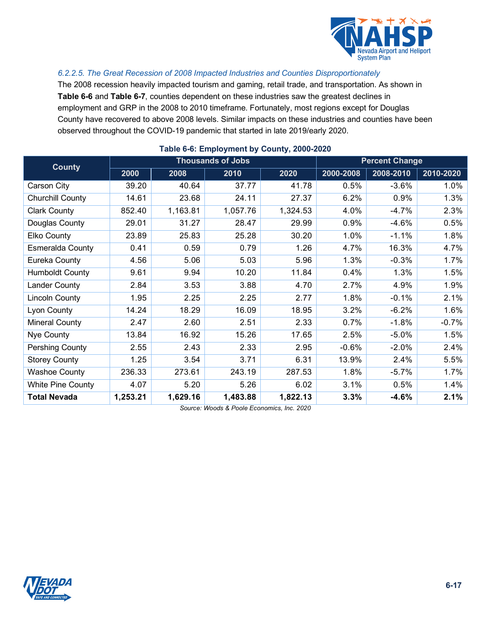

#### *6.2.2.5. The Great Recession of 2008 Impacted Industries and Counties Disproportionately*

The 2008 recession heavily impacted tourism and gaming, retail trade, and transportation. As shown in **[Table 6-6](#page-16-0)** and **[Table 6-7](#page-16-1)**, counties dependent on these industries saw the greatest declines in employment and GRP in the 2008 to 2010 timeframe. Fortunately, most regions except for Douglas County have recovered to above 2008 levels. Similar impacts on these industries and counties have been observed throughout the COVID-19 pandemic that started in late 2019/early 2020.

<span id="page-16-0"></span>

| <b>County</b>            | <b>Thousands of Jobs</b> |          |          |          | <b>Percent Change</b> |           |           |
|--------------------------|--------------------------|----------|----------|----------|-----------------------|-----------|-----------|
|                          | 2000                     | 2008     | 2010     | 2020     | 2000-2008             | 2008-2010 | 2010-2020 |
| Carson City              | 39.20                    | 40.64    | 37.77    | 41.78    | 0.5%                  | $-3.6%$   | 1.0%      |
| Churchill County         | 14.61                    | 23.68    | 24.11    | 27.37    | 6.2%                  | 0.9%      | 1.3%      |
| <b>Clark County</b>      | 852.40                   | 1,163.81 | 1,057.76 | 1,324.53 | 4.0%                  | $-4.7%$   | 2.3%      |
| Douglas County           | 29.01                    | 31.27    | 28.47    | 29.99    | 0.9%                  | $-4.6%$   | 0.5%      |
| Elko County              | 23.89                    | 25.83    | 25.28    | 30.20    | 1.0%                  | $-1.1%$   | 1.8%      |
| <b>Esmeralda County</b>  | 0.41                     | 0.59     | 0.79     | 1.26     | 4.7%                  | 16.3%     | 4.7%      |
| Eureka County            | 4.56                     | 5.06     | 5.03     | 5.96     | 1.3%                  | $-0.3%$   | 1.7%      |
| <b>Humboldt County</b>   | 9.61                     | 9.94     | 10.20    | 11.84    | 0.4%                  | 1.3%      | 1.5%      |
| <b>Lander County</b>     | 2.84                     | 3.53     | 3.88     | 4.70     | 2.7%                  | 4.9%      | 1.9%      |
| <b>Lincoln County</b>    | 1.95                     | 2.25     | 2.25     | 2.77     | 1.8%                  | $-0.1%$   | 2.1%      |
| Lyon County              | 14.24                    | 18.29    | 16.09    | 18.95    | 3.2%                  | $-6.2%$   | 1.6%      |
| Mineral County           | 2.47                     | 2.60     | 2.51     | 2.33     | 0.7%                  | $-1.8%$   | $-0.7%$   |
| Nye County               | 13.84                    | 16.92    | 15.26    | 17.65    | 2.5%                  | $-5.0%$   | 1.5%      |
| <b>Pershing County</b>   | 2.55                     | 2.43     | 2.33     | 2.95     | $-0.6%$               | $-2.0%$   | 2.4%      |
| <b>Storey County</b>     | 1.25                     | 3.54     | 3.71     | 6.31     | 13.9%                 | 2.4%      | 5.5%      |
| <b>Washoe County</b>     | 236.33                   | 273.61   | 243.19   | 287.53   | 1.8%                  | $-5.7\%$  | 1.7%      |
| <b>White Pine County</b> | 4.07                     | 5.20     | 5.26     | 6.02     | 3.1%                  | 0.5%      | 1.4%      |
| <b>Total Nevada</b>      | 1,253.21                 | 1,629.16 | 1,483.88 | 1,822.13 | 3.3%                  | $-4.6%$   | 2.1%      |

#### <span id="page-16-1"></span>**Table 6-6: Employment by County, 2000-2020**

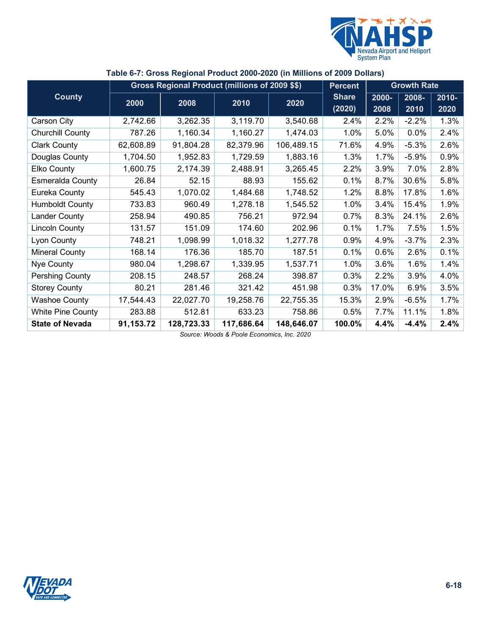

|                          |           | Gross Regional Product (millions of 2009 \$\$) |            |            | <b>Percent</b>         |               | <b>Growth Rate</b> |                  |
|--------------------------|-----------|------------------------------------------------|------------|------------|------------------------|---------------|--------------------|------------------|
| <b>County</b>            | 2000      | 2008                                           | 2010       | 2020       | <b>Share</b><br>(2020) | 2000-<br>2008 | 2008-<br>2010      | $2010 -$<br>2020 |
| Carson City              | 2,742.66  | 3,262.35                                       | 3,119.70   | 3,540.68   | 2.4%                   | 2.2%          | $-2.2%$            | 1.3%             |
| <b>Churchill County</b>  | 787.26    | 1,160.34                                       | 1,160.27   | 1,474.03   | 1.0%                   | 5.0%          | 0.0%               | 2.4%             |
| <b>Clark County</b>      | 62,608.89 | 91,804.28                                      | 82,379.96  | 106,489.15 | 71.6%                  | 4.9%          | $-5.3%$            | 2.6%             |
| Douglas County           | 1,704.50  | 1,952.83                                       | 1,729.59   | 1,883.16   | 1.3%                   | 1.7%          | $-5.9%$            | 0.9%             |
| Elko County              | 1,600.75  | 2,174.39                                       | 2,488.91   | 3,265.45   | 2.2%                   | 3.9%          | 7.0%               | 2.8%             |
| <b>Esmeralda County</b>  | 26.84     | 52.15                                          | 88.93      | 155.62     | 0.1%                   | 8.7%          | 30.6%              | 5.8%             |
| Eureka County            | 545.43    | 1,070.02                                       | 1,484.68   | 1,748.52   | 1.2%                   | 8.8%          | 17.8%              | 1.6%             |
| <b>Humboldt County</b>   | 733.83    | 960.49                                         | 1,278.18   | 1,545.52   | 1.0%                   | 3.4%          | 15.4%              | 1.9%             |
| Lander County            | 258.94    | 490.85                                         | 756.21     | 972.94     | 0.7%                   | 8.3%          | 24.1%              | 2.6%             |
| <b>Lincoln County</b>    | 131.57    | 151.09                                         | 174.60     | 202.96     | 0.1%                   | 1.7%          | 7.5%               | 1.5%             |
| Lyon County              | 748.21    | 1,098.99                                       | 1,018.32   | 1,277.78   | 0.9%                   | 4.9%          | $-3.7%$            | 2.3%             |
| <b>Mineral County</b>    | 168.14    | 176.36                                         | 185.70     | 187.51     | 0.1%                   | 0.6%          | 2.6%               | 0.1%             |
| Nye County               | 980.04    | 1,298.67                                       | 1,339.95   | 1,537.71   | 1.0%                   | 3.6%          | 1.6%               | 1.4%             |
| Pershing County          | 208.15    | 248.57                                         | 268.24     | 398.87     | 0.3%                   | 2.2%          | 3.9%               | 4.0%             |
| <b>Storey County</b>     | 80.21     | 281.46                                         | 321.42     | 451.98     | 0.3%                   | 17.0%         | 6.9%               | 3.5%             |
| <b>Washoe County</b>     | 17,544.43 | 22,027.70                                      | 19,258.76  | 22,755.35  | 15.3%                  | 2.9%          | $-6.5%$            | 1.7%             |
| <b>White Pine County</b> | 283.88    | 512.81                                         | 633.23     | 758.86     | 0.5%                   | 7.7%          | 11.1%              | 1.8%             |
| <b>State of Nevada</b>   | 91,153.72 | 128,723.33                                     | 117,686.64 | 148,646.07 | 100.0%                 | 4.4%          | $-4.4%$            | 2.4%             |

#### **Table 6-7: Gross Regional Product 2000-2020 (in Millions of 2009 Dollars)**

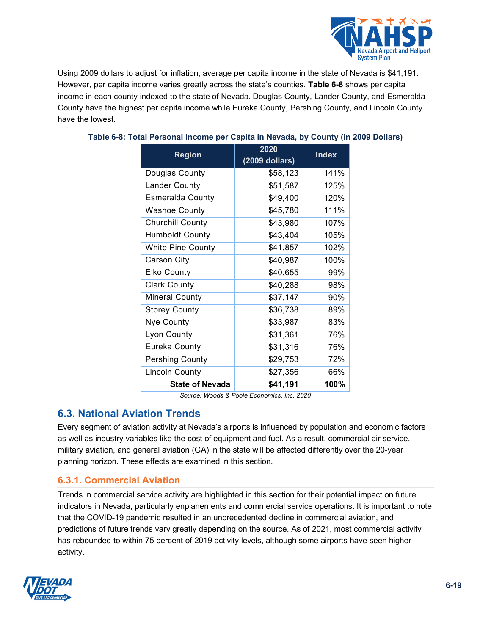

Using 2009 dollars to adjust for inflation, average per capita income in the state of Nevada is \$41,191. However, per capita income varies greatly across the state's counties. **[Table 6-8](#page-18-0)** shows per capita income in each county indexed to the state of Nevada. Douglas County, Lander County, and Esmeralda County have the highest per capita income while Eureka County, Pershing County, and Lincoln County have the lowest.

| <b>Region</b>            | 2020<br>$(2009$ dollars) | <b>Index</b> |
|--------------------------|--------------------------|--------------|
| Douglas County           | \$58,123                 | 141%         |
| Lander County            | \$51,587                 | 125%         |
| <b>Esmeralda County</b>  | \$49,400                 | 120%         |
| <b>Washoe County</b>     | \$45,780                 | 111%         |
| <b>Churchill County</b>  | \$43,980                 | 107%         |
| <b>Humboldt County</b>   | \$43,404                 | 105%         |
| <b>White Pine County</b> | \$41,857                 | 102%         |
| Carson City              | \$40,987                 | 100%         |
| <b>Elko County</b>       | \$40,655                 | 99%          |
| <b>Clark County</b>      | \$40,288                 | 98%          |
| <b>Mineral County</b>    | \$37,147                 | 90%          |
| <b>Storey County</b>     | \$36,738                 | 89%          |
| Nye County               | \$33,987                 | 83%          |
| Lyon County              | \$31,361                 | 76%          |
| Eureka County            | \$31,316                 | 76%          |
| <b>Pershing County</b>   | \$29,753                 | 72%          |
| <b>Lincoln County</b>    | \$27,356                 | 66%          |
| <b>State of Nevada</b>   | \$41,191                 | 100%         |

## <span id="page-18-0"></span>**Table 6-8: Total Personal Income per Capita in Nevada, by County (in 2009 Dollars)**

*Source: Woods & Poole Economics, Inc. 2020*

## **6.3. National Aviation Trends**

Every segment of aviation activity at Nevada's airports is influenced by population and economic factors as well as industry variables like the cost of equipment and fuel. As a result, commercial air service, military aviation, and general aviation (GA) in the state will be affected differently over the 20-year planning horizon. These effects are examined in this section.

## **6.3.1. Commercial Aviation**

Trends in commercial service activity are highlighted in this section for their potential impact on future indicators in Nevada, particularly enplanements and commercial service operations. It is important to note that the COVID-19 pandemic resulted in an unprecedented decline in commercial aviation, and predictions of future trends vary greatly depending on the source. As of 2021, most commercial activity has rebounded to within 75 percent of 2019 activity levels, although some airports have seen higher activity.

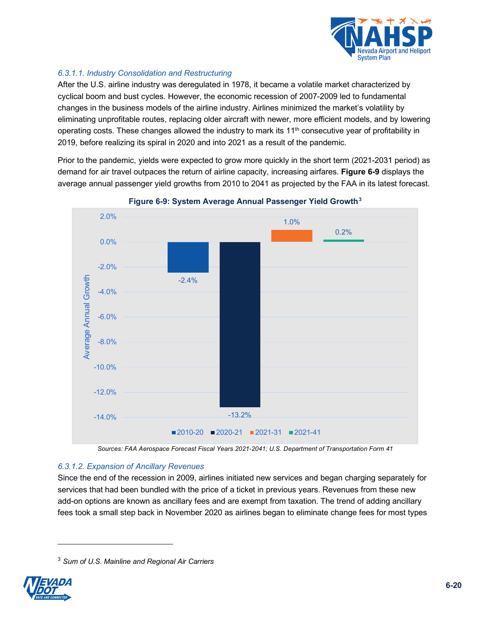

## *6.3.1.1. Industry Consolidation and Restructuring*

After the U.S. airline industry was deregulated in 1978, it became a volatile market characterized by cyclical boom and bust cycles. However, the economic recession of 2007-2009 led to fundamental changes in the business models of the airline industry. Airlines minimized the market's volatility by eliminating unprofitable routes, replacing older aircraft with newer, more efficient models, and by lowering operating costs. These changes allowed the industry to mark its  $11<sup>th</sup>$  consecutive year of profitability in 2019, before realizing its spiral in 2020 and into 2021 as a result of the pandemic.

Prior to the pandemic, yields were expected to grow more quickly in the short term (2021-2031 period) as demand for air travel outpaces the return of airline capacity, increasing airfares. **[Figure 6-9](#page-19-0)** displays the average annual passenger yield growths from 2010 to 2041 as projected by the FAA in its latest forecast.

<span id="page-19-0"></span>

#### **Figure 6-9: System Average Annual Passenger Yield Growth[3](#page-19-1)**

*Sources: FAA Aerospace Forecast Fiscal Years 2021-2041; U.S. Department of Transportation Form 41*

#### *6.3.1.2. Expansion of Ancillary Revenues*

Since the end of the recession in 2009, airlines initiated new services and began charging separately for services that had been bundled with the price of a ticket in previous years. Revenues from these new add-on options are known as ancillary fees and are exempt from taxation. The trend of adding ancillary fees took a small step back in November 2020 as airlines began to eliminate change fees for most types

<span id="page-19-1"></span><sup>3</sup> *Sum of U.S. Mainline and Regional Air Carriers*

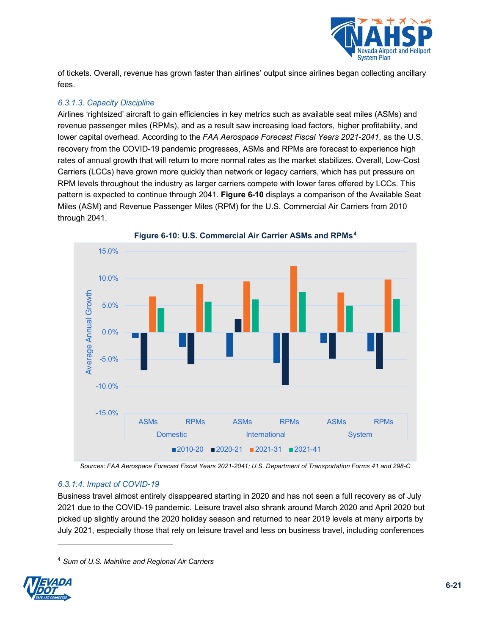

of tickets. Overall, revenue has grown faster than airlines' output since airlines began collecting ancillary fees.

## *6.3.1.3. Capacity Discipline*

Airlines 'rightsized' aircraft to gain efficiencies in key metrics such as available seat miles (ASMs) and revenue passenger miles (RPMs), and as a result saw increasing load factors, higher profitability, and lower capital overhead. According to the *FAA Aerospace Forecast Fiscal Years 2021-2041*, as the U.S. recovery from the COVID-19 pandemic progresses, ASMs and RPMs are forecast to experience high rates of annual growth that will return to more normal rates as the market stabilizes. Overall, Low-Cost Carriers (LCCs) have grown more quickly than network or legacy carriers, which has put pressure on RPM levels throughout the industry as larger carriers compete with lower fares offered by LCCs. This pattern is expected to continue through 2041. **[Figure 6-10](#page-20-0)** displays a comparison of the Available Seat Miles (ASM) and Revenue Passenger Miles (RPM) for the U.S. Commercial Air Carriers from 2010 through 2041.

<span id="page-20-0"></span>

**Figure 6-10: U.S. Commercial Air Carrier ASMs and RPMs[4](#page-20-1)**

*Sources: FAA Aerospace Forecast Fiscal Years 2021-2041; U.S. Department of Transportation Forms 41 and 298-C*

#### *6.3.1.4. Impact of COVID-19*

Business travel almost entirely disappeared starting in 2020 and has not seen a full recovery as of July 2021 due to the COVID-19 pandemic. Leisure travel also shrank around March 2020 and April 2020 but picked up slightly around the 2020 holiday season and returned to near 2019 levels at many airports by July 2021, especially those that rely on leisure travel and less on business travel, including conferences

<span id="page-20-1"></span><sup>4</sup> *Sum of U.S. Mainline and Regional Air Carriers*

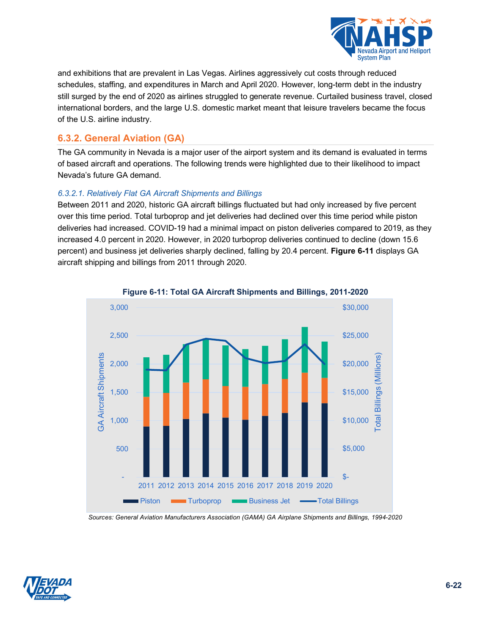

and exhibitions that are prevalent in Las Vegas. Airlines aggressively cut costs through reduced schedules, staffing, and expenditures in March and April 2020. However, long-term debt in the industry still surged by the end of 2020 as airlines struggled to generate revenue. Curtailed business travel, closed international borders, and the large U.S. domestic market meant that leisure travelers became the focus of the U.S. airline industry.

## **6.3.2. General Aviation (GA)**

The GA community in Nevada is a major user of the airport system and its demand is evaluated in terms of based aircraft and operations. The following trends were highlighted due to their likelihood to impact Nevada's future GA demand.

#### *6.3.2.1. Relatively Flat GA Aircraft Shipments and Billings*

Between 2011 and 2020, historic GA aircraft billings fluctuated but had only increased by five percent over this time period. Total turboprop and jet deliveries had declined over this time period while piston deliveries had increased. COVID-19 had a minimal impact on piston deliveries compared to 2019, as they increased 4.0 percent in 2020. However, in 2020 turboprop deliveries continued to decline (down 15.6 percent) and business jet deliveries sharply declined, falling by 20.4 percent. **[Figure 6-11](#page-21-0)** displays GA aircraft shipping and billings from 2011 through 2020.

<span id="page-21-0"></span>

**Figure 6-11: Total GA Aircraft Shipments and Billings, 2011-2020**

*Sources: General Aviation Manufacturers Association (GAMA) GA Airplane Shipments and Billings, 1994-2020*

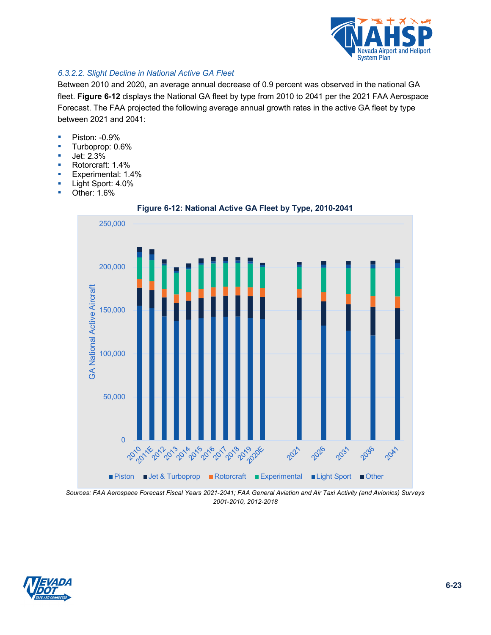

## *6.3.2.2. Slight Decline in National Active GA Fleet*

Between 2010 and 2020, an average annual decrease of 0.9 percent was observed in the national GA fleet. **[Figure 6-12](#page-22-0)** displays the National GA fleet by type from 2010 to 2041 per the 2021 FAA Aerospace Forecast. The FAA projected the following average annual growth rates in the active GA fleet by type between 2021 and 2041:

- **Piston: -0.9%**
- Turboprop: 0.6%
- **Jet: 2.3%**
- Rotorcraft: 1.4%
- **Experimental: 1.4%**
- **Light Sport: 4.0%**
- <span id="page-22-0"></span>■ Other: 1.6%



**Figure 6-12: National Active GA Fleet by Type, 2010-2041**



*Sources: FAA Aerospace Forecast Fiscal Years 2021-2041; FAA General Aviation and Air Taxi Activity (and Avionics) Surveys 2001-2010, 2012-2018*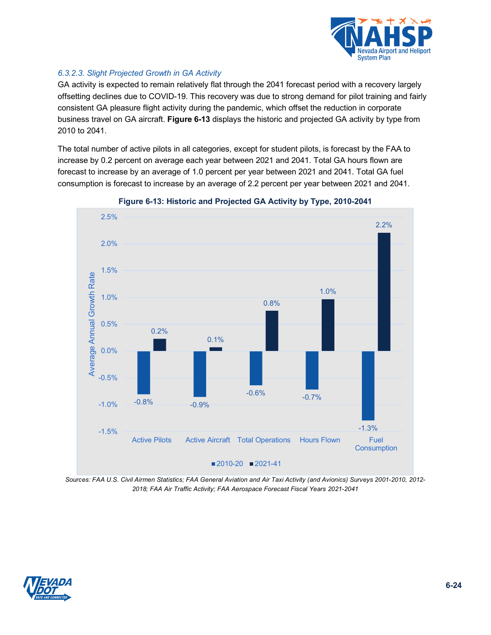

## *6.3.2.3. Slight Projected Growth in GA Activity*

GA activity is expected to remain relatively flat through the 2041 forecast period with a recovery largely offsetting declines due to COVID-19. This recovery was due to strong demand for pilot training and fairly consistent GA pleasure flight activity during the pandemic, which offset the reduction in corporate business travel on GA aircraft. **[Figure 6-13](#page-23-0)** displays the historic and projected GA activity by type from 2010 to 2041.

The total number of active pilots in all categories, except for student pilots, is forecast by the FAA to increase by 0.2 percent on average each year between 2021 and 2041. Total GA hours flown are forecast to increase by an average of 1.0 percent per year between 2021 and 2041. Total GA fuel consumption is forecast to increase by an average of 2.2 percent per year between 2021 and 2041.

<span id="page-23-0"></span>

#### **Figure 6-13: Historic and Projected GA Activity by Type, 2010-2041**

*Sources: FAA U.S. Civil Airmen Statistics; FAA General Aviation and Air Taxi Activity (and Avionics) Surveys 2001-2010, 2012- 2018; FAA Air Traffic Activity; FAA Aerospace Forecast Fiscal Years 2021-2041*

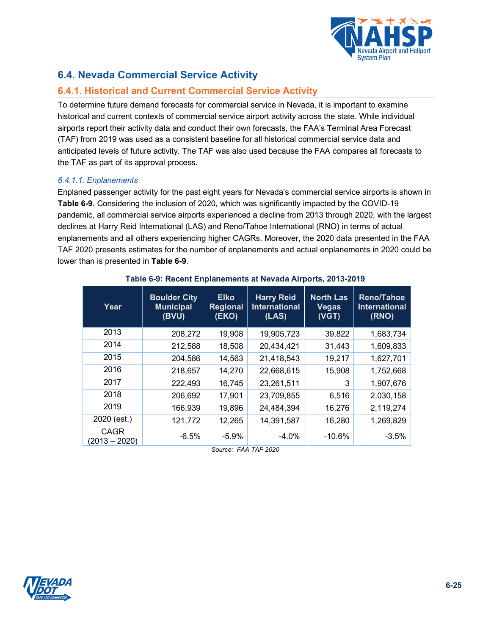

## **6.4. Nevada Commercial Service Activity**

## **6.4.1. Historical and Current Commercial Service Activity**

To determine future demand forecasts for commercial service in Nevada, it is important to examine historical and current contexts of commercial service airport activity across the state. While individual airports report their activity data and conduct their own forecasts, the FAA's Terminal Area Forecast (TAF) from 2019 was used as a consistent baseline for all historical commercial service data and anticipated levels of future activity. The TAF was also used because the FAA compares all forecasts to the TAF as part of its approval process.

## *6.4.1.1. Enplanements*

<span id="page-24-0"></span>Enplaned passenger activity for the past eight years for Nevada's commercial service airports is shown in **[Table 6-9](#page-24-0)**. Considering the inclusion of 2020, which was significantly impacted by the COVID-19 pandemic, all commercial service airports experienced a decline from 2013 through 2020, with the largest declines at Harry Reid International (LAS) and Reno/Tahoe International (RNO) in terms of actual enplanements and all others experiencing higher CAGRs. Moreover, the 2020 data presented in the FAA TAF 2020 presents estimates for the number of enplanements and actual enplanements in 2020 could be lower than is presented in **[Table 6-9](#page-24-0)**.

| Year                           | <b>Boulder City</b><br><b>Municipal</b><br>(BVU) | <b>Elko</b><br><b>Regional</b><br>(EKO) | <b>Harry Reid</b><br><b>International</b><br>(LAS) | <b>North Las</b><br><b>Vegas</b><br>(VGT) | <b>Reno/Tahoe</b><br><b>International</b><br>(RNO) |
|--------------------------------|--------------------------------------------------|-----------------------------------------|----------------------------------------------------|-------------------------------------------|----------------------------------------------------|
| 2013                           | 208,272                                          | 19,908                                  | 19,905,723                                         | 39,822                                    | 1,683,734                                          |
| 2014                           | 212,588                                          | 18,508                                  | 20,434,421                                         | 31,443                                    | 1,609,833                                          |
| 2015                           | 204,586                                          | 14,563                                  | 21,418,543                                         | 19,217                                    | 1,627,701                                          |
| 2016                           | 218,657                                          | 14,270                                  | 22,668,615                                         | 15,908                                    | 1,752,668                                          |
| 2017                           | 222,493                                          | 16,745                                  | 23,261,511                                         | 3                                         | 1,907,676                                          |
| 2018                           | 206,692                                          | 17,901                                  | 23,709,855                                         | 6,516                                     | 2,030,158                                          |
| 2019                           | 166,939                                          | 19,896                                  | 24,484,394                                         | 16,276                                    | 2,119,274                                          |
| 2020 (est.)                    | 121,772                                          | 12,265                                  | 14,391,587                                         | 16,280                                    | 1,269,829                                          |
| <b>CAGR</b><br>$(2013 - 2020)$ | $-6.5%$                                          | $-5.9%$                                 | $-4.0%$                                            | $-10.6%$                                  | $-3.5%$                                            |

## **Table 6-9: Recent Enplanements at Nevada Airports, 2013-2019**

*Source: FAA TAF 2020*

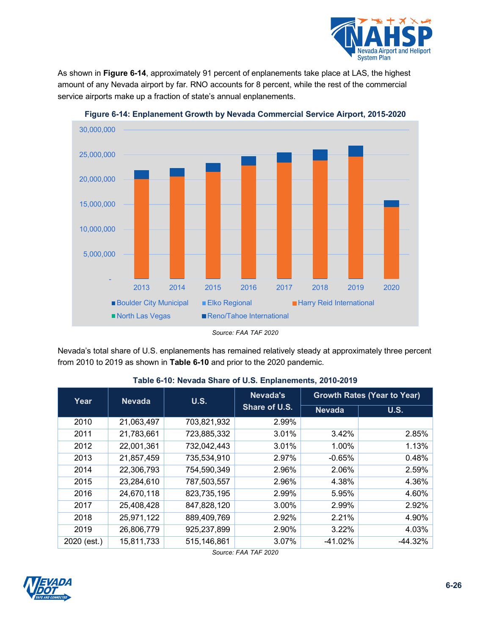

<span id="page-25-0"></span>As shown in **[Figure 6-14](#page-25-0)**, approximately 91 percent of enplanements take place at LAS, the highest amount of any Nevada airport by far. RNO accounts for 8 percent, while the rest of the commercial service airports make up a fraction of state's annual enplanements.



**Figure 6-14: Enplanement Growth by Nevada Commercial Service Airport, 2015-2020**

<span id="page-25-1"></span>Nevada's total share of U.S. enplanements has remained relatively steady at approximately three percent from 2010 to 2019 as shown in **[Table 6-10](#page-25-1)** and prior to the 2020 pandemic.

| Year        | <b>U.S.</b><br><b>Nevada</b> |               | Nevada's      |               | <b>Growth Rates (Year to Year)</b> |  |  |  |
|-------------|------------------------------|---------------|---------------|---------------|------------------------------------|--|--|--|
|             |                              |               | Share of U.S. | <b>Nevada</b> | U.S.                               |  |  |  |
| 2010        | 21,063,497                   | 703,821,932   | 2.99%         |               |                                    |  |  |  |
| 2011        | 21,783,661                   | 723,885,332   | 3.01%         | 3.42%         | 2.85%                              |  |  |  |
| 2012        | 22,001,361                   | 732,042,443   | 3.01%         | 1.00%         | 1.13%                              |  |  |  |
| 2013        | 21,857,459                   | 735,534,910   | 2.97%         | $-0.65%$      | 0.48%                              |  |  |  |
| 2014        | 22,306,793                   | 754,590,349   | 2.96%         | 2.06%         | 2.59%                              |  |  |  |
| 2015        | 23,284,610                   | 787,503,557   | 2.96%         | 4.38%         | 4.36%                              |  |  |  |
| 2016        | 24,670,118                   | 823,735,195   | 2.99%         | 5.95%         | 4.60%                              |  |  |  |
| 2017        | 25,408,428                   | 847,828,120   | 3.00%         | 2.99%         | 2.92%                              |  |  |  |
| 2018        | 25,971,122                   | 889,409,769   | 2.92%         | 2.21%         | 4.90%                              |  |  |  |
| 2019        | 26,806,779                   | 925,237,899   | 2.90%         | 3.22%         | 4.03%                              |  |  |  |
| 2020 (est.) | 15,811,733                   | 515, 146, 861 | 3.07%         | $-41.02%$     | $-44.32%$                          |  |  |  |

## **Table 6-10: Nevada Share of U.S. Enplanements, 2010-2019**

*Source: FAA TAF 2020*



*Source: FAA TAF 2020*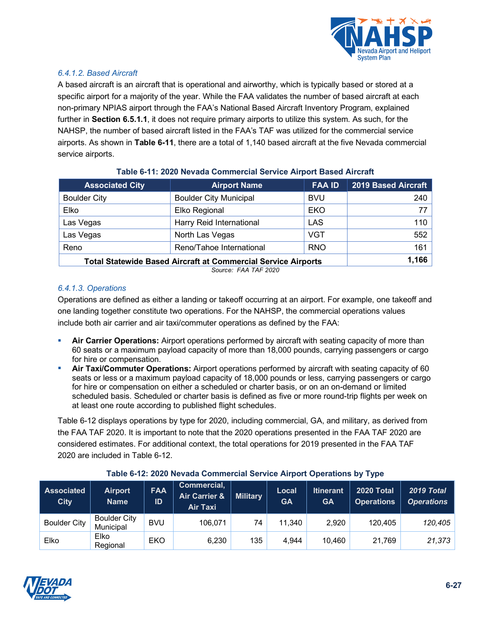

### *6.4.1.2. Based Aircraft*

A based aircraft is an aircraft that is operational and airworthy, which is typically based or stored at a specific airport for a majority of the year. While the FAA validates the number of based aircraft at each non-primary NPIAS airport through the FAA's National Based Aircraft Inventory Program, explained further in **Section [6.5.1.1](#page-33-0)**, it does not require primary airports to utilize this system. As such, for the NAHSP, the number of based aircraft listed in the FAA's TAF was utilized for the commercial service airports. As shown in **[Table 6-11](#page-26-0)**, there are a total of 1,140 based aircraft at the five Nevada commercial service airports.

<span id="page-26-0"></span>

| <b>Associated City</b>                                               | <b>FAA ID</b><br><b>Airport Name</b> |            | <b>2019 Based Aircraft</b> |
|----------------------------------------------------------------------|--------------------------------------|------------|----------------------------|
| <b>Boulder City</b>                                                  | <b>Boulder City Municipal</b>        | <b>BVU</b> | 240                        |
| Elko                                                                 | Elko Regional                        | EKO        | 77                         |
| Las Vegas                                                            | Harry Reid International             | <b>LAS</b> | 110                        |
| Las Vegas                                                            | North Las Vegas                      | <b>VGT</b> | 552                        |
| Reno                                                                 | Reno/Tahoe International             | <b>RNO</b> | 161                        |
| <b>Total Statewide Based Aircraft at Commercial Service Airports</b> | 1,166                                |            |                            |

#### **Table 6-11: 2020 Nevada Commercial Service Airport Based Aircraft**

*Source: FAA TAF 2020*

#### *6.4.1.3. Operations*

Operations are defined as either a landing or takeoff occurring at an airport. For example, one takeoff and one landing together constitute two operations. For the NAHSP, the commercial operations values include both air carrier and air taxi/commuter operations as defined by the FAA:

- **Air Carrier Operations:** Airport operations performed by aircraft with seating capacity of more than 60 seats or a maximum payload capacity of more than 18,000 pounds, carrying passengers or cargo for hire or compensation.
- **Air Taxi/Commuter Operations:** Airport operations performed by aircraft with seating capacity of 60 seats or less or a maximum payload capacity of 18,000 pounds or less, carrying passengers or cargo for hire or compensation on either a scheduled or charter basis, or on an on-demand or limited scheduled basis. Scheduled or charter basis is defined as five or more round-trip flights per week on at least one route according to published flight schedules.

<span id="page-26-1"></span>[Table 6-12](#page-26-1) displays operations by type for 2020, including commercial, GA, and military, as derived from the FAA TAF 2020. It is important to note that the 2020 operations presented in the FAA TAF 2020 are considered estimates. For additional context, the total operations for 2019 presented in the FAA TAF 2020 are included in [Table 6-12.](#page-26-1)

| <b>Associated</b><br><b>City</b> | <b>Airport</b><br><b>Name</b>           | <b>FAA</b><br>ID | Commercial,<br><b>Air Carrier &amp;</b><br><b>Air Taxi</b> | <b>Military</b> | Local<br><b>GA</b> | Itinerant<br><b>GA</b> | 2020 Total<br><b>Operations</b> | 2019 Total<br><b>Operations</b> |
|----------------------------------|-----------------------------------------|------------------|------------------------------------------------------------|-----------------|--------------------|------------------------|---------------------------------|---------------------------------|
| <b>Boulder City</b>              | <b>Boulder City</b><br><b>Municipal</b> | <b>BVU</b>       | 106.071                                                    | 74              | 11.340             | 2.920                  | 120.405                         | 120.405                         |
| Elko                             | Elko<br>Regional                        | EKO              | 6,230                                                      | 135             | 4.944              | 10.460                 | 21,769                          | 21,373                          |

#### **Table 6-12: 2020 Nevada Commercial Service Airport Operations by Type**

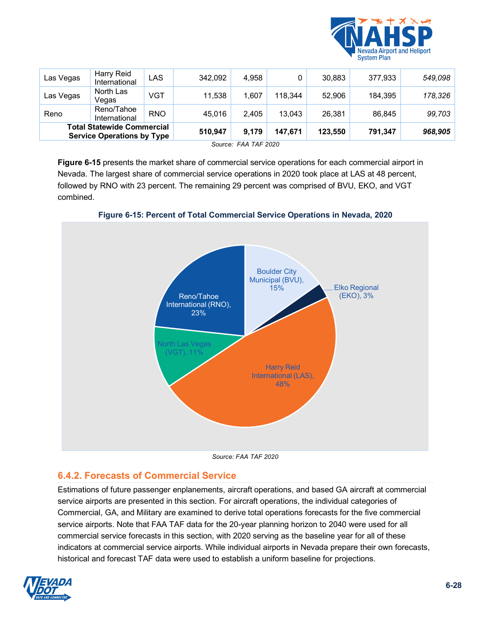

| Las Vegas | Harry Reid<br>International                                            | LAS        | 342,092 | 4.958 |         | 30,883  | 377,933 | 549,098 |
|-----------|------------------------------------------------------------------------|------------|---------|-------|---------|---------|---------|---------|
| Las Vegas | North Las<br>Vegas                                                     | <b>VGT</b> | 11,538  | 1.607 | 118.344 | 52,906  | 184,395 | 178,326 |
| Reno      | Reno/Tahoe<br>International                                            | <b>RNO</b> | 45,016  | 2.405 | 13,043  | 26.381  | 86,845  | 99,703  |
|           | <b>Total Statewide Commercial</b><br><b>Service Operations by Type</b> |            | 510,947 | 9,179 | 147,671 | 123,550 | 791,347 | 968,905 |

*Source: FAA TAF 2020*

<span id="page-27-0"></span>**[Figure 6-15](#page-27-0)** presents the market share of commercial service operations for each commercial airport in Nevada. The largest share of commercial service operations in 2020 took place at LAS at 48 percent, followed by RNO with 23 percent. The remaining 29 percent was comprised of BVU, EKO, and VGT combined.



**Figure 6-15: Percent of Total Commercial Service Operations in Nevada, 2020**

*Source: FAA TAF 2020*

## **6.4.2. Forecasts of Commercial Service**

Estimations of future passenger enplanements, aircraft operations, and based GA aircraft at commercial service airports are presented in this section. For aircraft operations, the individual categories of Commercial, GA, and Military are examined to derive total operations forecasts for the five commercial service airports. Note that FAA TAF data for the 20-year planning horizon to 2040 were used for all commercial service forecasts in this section, with 2020 serving as the baseline year for all of these indicators at commercial service airports. While individual airports in Nevada prepare their own forecasts, historical and forecast TAF data were used to establish a uniform baseline for projections.

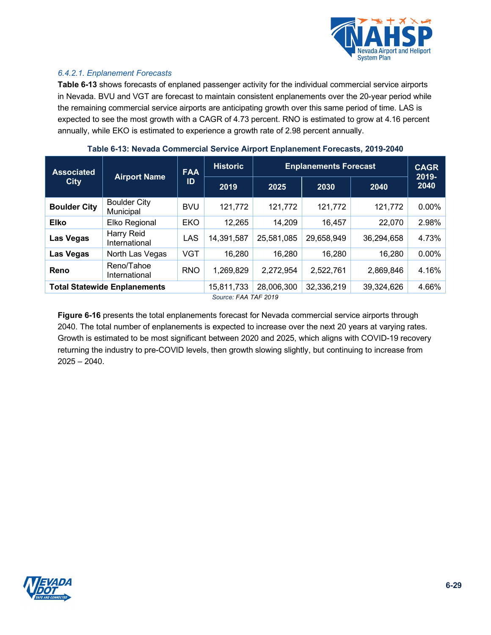

#### *6.4.2.1. Enplanement Forecasts*

<span id="page-28-0"></span>**[Table 6-13](#page-28-0)** shows forecasts of enplaned passenger activity for the individual commercial service airports in Nevada. BVU and VGT are forecast to maintain consistent enplanements over the 20-year period while the remaining commercial service airports are anticipating growth over this same period of time. LAS is expected to see the most growth with a CAGR of 4.73 percent. RNO is estimated to grow at 4.16 percent annually, while EKO is estimated to experience a growth rate of 2.98 percent annually.

| <b>Associated</b><br><b>City</b> | <b>Airport Name</b>                 | <b>FAA</b> | <b>Historic</b><br><b>Enplanements Forecast</b> |            |            |            | <b>CAGR</b><br>2019- |  |
|----------------------------------|-------------------------------------|------------|-------------------------------------------------|------------|------------|------------|----------------------|--|
|                                  |                                     | ID         | 2019                                            | 2025       | 2030       | 2040       | 2040                 |  |
| <b>Boulder City</b>              | <b>Boulder City</b><br>Municipal    | <b>BVU</b> | 121,772                                         | 121,772    | 121,772    | 121,772    | 0.00%                |  |
| <b>Elko</b>                      | Elko Regional                       | <b>EKO</b> | 12,265                                          | 14,209     | 16,457     | 22,070     | 2.98%                |  |
| Las Vegas                        | Harry Reid<br>International         | <b>LAS</b> | 14,391,587                                      | 25,581,085 | 29,658,949 | 36,294,658 | 4.73%                |  |
| Las Vegas                        | North Las Vegas                     | <b>VGT</b> | 16,280                                          | 16,280     | 16,280     | 16,280     | 0.00%                |  |
| Reno                             | Reno/Tahoe<br>International         | <b>RNO</b> | 1,269,829                                       | 2,272,954  | 2,522,761  | 2,869,846  | 4.16%                |  |
|                                  | <b>Total Statewide Enplanements</b> |            | 15,811,733                                      | 28,006,300 | 32,336,219 | 39,324,626 | 4.66%                |  |
| Source: FAA TAF 2019             |                                     |            |                                                 |            |            |            |                      |  |

#### **Table 6-13: Nevada Commercial Service Airport Enplanement Forecasts, 2019-2040**

**[Figure 6-16](#page-29-0)** presents the total enplanements forecast for Nevada commercial service airports through 2040. The total number of enplanements is expected to increase over the next 20 years at varying rates. Growth is estimated to be most significant between 2020 and 2025, which aligns with COVID-19 recovery returning the industry to pre-COVID levels, then growth slowing slightly, but continuing to increase from 2025 – 2040.

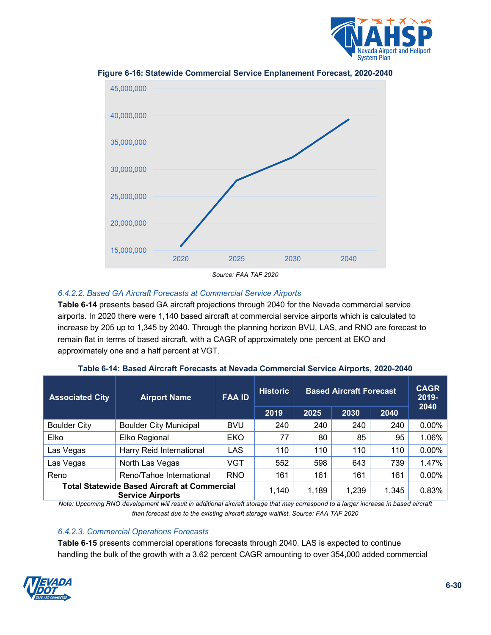



<span id="page-29-0"></span>**Figure 6-16: Statewide Commercial Service Enplanement Forecast, 2020-2040**

#### *6.4.2.2. Based GA Aircraft Forecasts at Commercial Service Airports*

<span id="page-29-1"></span>**[Table 6-14](#page-29-1)** presents based GA aircraft projections through 2040 for the Nevada commercial service airports. In 2020 there were 1,140 based aircraft at commercial service airports which is calculated to increase by 205 up to 1,345 by 2040. Through the planning horizon BVU, LAS, and RNO are forecast to remain flat in terms of based aircraft, with a CAGR of approximately one percent at EKO and approximately one and a half percent at VGT.

| <b>Associated City</b> | <b>Airport Name</b>                                                            | <b>FAA ID</b> | <b>Historic</b> | <b>Based Aircraft Forecast</b> |       |       | <b>CAGR</b><br>2019-<br>2040 |
|------------------------|--------------------------------------------------------------------------------|---------------|-----------------|--------------------------------|-------|-------|------------------------------|
|                        |                                                                                |               | 2019            | 2025                           | 2030  | 2040  |                              |
| <b>Boulder City</b>    | <b>Boulder City Municipal</b>                                                  | <b>BVU</b>    | 240             | 240                            | 240   | 240   | $0.00\%$                     |
| Elko                   | Elko Regional                                                                  | <b>EKO</b>    | 77              | 80                             | 85    | 95    | 1.06%                        |
| Las Vegas              | Harry Reid International                                                       | LAS           | 110             | 110                            | 110   | 110   | $0.00\%$                     |
| Las Vegas              | North Las Vegas                                                                | VGT           | 552             | 598                            | 643   | 739   | 1.47%                        |
| Reno                   | Reno/Tahoe International                                                       | <b>RNO</b>    | 161             | 161                            | 161   | 161   | $0.00\%$                     |
|                        | <b>Total Statewide Based Aircraft at Commercial</b><br><b>Service Airports</b> |               | 1,140           | 1,189                          | 1,239 | 1,345 | 0.83%                        |

**Table 6-14: Based Aircraft Forecasts at Nevada Commercial Service Airports, 2020-2040**

*Note: Upcoming RNO development will result in additional aircraft storage that may correspond to a larger increase in based aircraft than forecast due to the existing aircraft storage waitlist. Source: FAA TAF 2020*

#### *6.4.2.3. Commercial Operations Forecasts*

<span id="page-29-2"></span>**[Table 6-15](#page-29-2)** presents commercial operations forecasts through 2040. LAS is expected to continue handling the bulk of the growth with a 3.62 percent CAGR amounting to over 354,000 added commercial

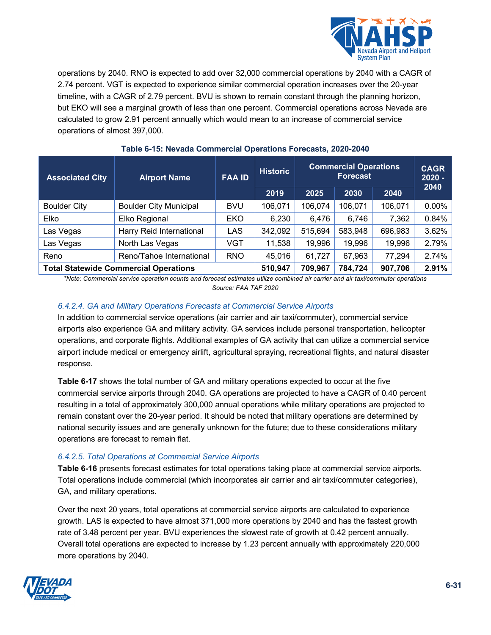

operations by 2040. RNO is expected to add over 32,000 commercial operations by 2040 with a CAGR of 2.74 percent. VGT is expected to experience similar commercial operation increases over the 20-year timeline, with a CAGR of 2.79 percent. BVU is shown to remain constant through the planning horizon, but EKO will see a marginal growth of less than one percent. Commercial operations across Nevada are calculated to grow 2.91 percent annually which would mean to an increase of commercial service operations of almost 397,000.

| <b>Associated City</b>                       | <b>Airport Name</b>           | <b>FAA ID</b> | <b>Historic</b> | <b>Commercial Operations</b><br><b>Forecast</b> |         |         | <b>CAGR</b><br>$2020 -$ |
|----------------------------------------------|-------------------------------|---------------|-----------------|-------------------------------------------------|---------|---------|-------------------------|
|                                              |                               |               | 2019            | 2025                                            | 2030    | 2040    | 2040                    |
| <b>Boulder City</b>                          | <b>Boulder City Municipal</b> | <b>BVU</b>    | 106,071         | 106,074                                         | 106,071 | 106,071 | $0.00\%$                |
| Elko                                         | Elko Regional                 | <b>EKO</b>    | 6,230           | 6,476                                           | 6,746   | 7,362   | 0.84%                   |
| Las Vegas                                    | Harry Reid International      | <b>LAS</b>    | 342,092         | 515,694                                         | 583,948 | 696,983 | 3.62%                   |
| Las Vegas                                    | North Las Vegas               | VGT           | 11,538          | 19,996                                          | 19,996  | 19,996  | 2.79%                   |
| Reno                                         | Reno/Tahoe International      | <b>RNO</b>    | 45,016          | 61,727                                          | 67,963  | 77,294  | 2.74%                   |
| <b>Total Statewide Commercial Operations</b> |                               | 510,947       | 709,967         | 784,724                                         | 907,706 | 2.91%   |                         |

## **Table 6-15: Nevada Commercial Operations Forecasts, 2020-2040**

*\*Note: Commercial service operation counts and forecast estimates utilize combined air carrier and air taxi/commuter operations Source: FAA TAF 2020*

#### *6.4.2.4. GA and Military Operations Forecasts at Commercial Service Airports*

In addition to commercial service operations (air carrier and air taxi/commuter), commercial service airports also experience GA and military activity. GA services include personal transportation, helicopter operations, and corporate flights. Additional examples of GA activity that can utilize a commercial service airport include medical or emergency airlift, agricultural spraying, recreational flights, and natural disaster response.

**[Table 6-17](#page-32-0)** shows the total number of GA and military operations expected to occur at the five commercial service airports through 2040. GA operations are projected to have a CAGR of 0.40 percent resulting in a total of approximately 300,000 annual operations while military operations are projected to remain constant over the 20-year period. It should be noted that military operations are determined by national security issues and are generally unknown for the future; due to these considerations military operations are forecast to remain flat.

## *6.4.2.5. Total Operations at Commercial Service Airports*

<span id="page-30-0"></span>**[Table 6-16](#page-30-0)** presents forecast estimates for total operations taking place at commercial service airports. Total operations include commercial (which incorporates air carrier and air taxi/commuter categories), GA, and military operations.

Over the next 20 years, total operations at commercial service airports are calculated to experience growth. LAS is expected to have almost 371,000 more operations by 2040 and has the fastest growth rate of 3.48 percent per year. BVU experiences the slowest rate of growth at 0.42 percent annually. Overall total operations are expected to increase by 1.23 percent annually with approximately 220,000 more operations by 2040.

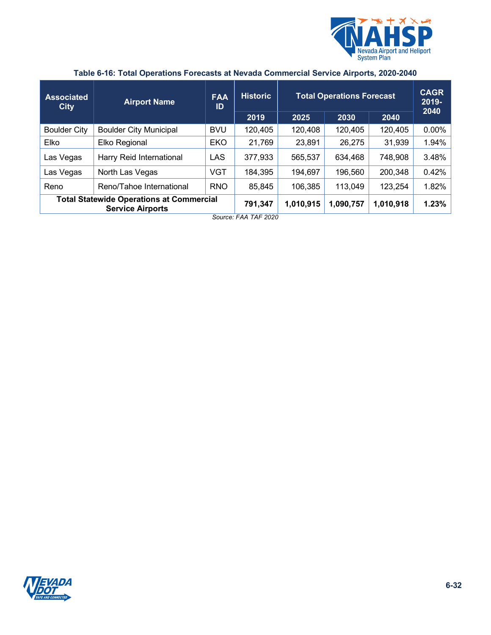

| <b>Associated</b><br><b>City</b> | <b>Airport Name</b>                                                        | <b>FAA</b><br>ID | <b>Historic</b><br>2019 | 2025      | <b>Total Operations Forecast</b><br>2030 | 2040      | <b>CAGR</b><br>2019-<br>2040 |
|----------------------------------|----------------------------------------------------------------------------|------------------|-------------------------|-----------|------------------------------------------|-----------|------------------------------|
| <b>Boulder City</b>              | <b>Boulder City Municipal</b>                                              | <b>BVU</b>       | 120,405                 | 120,408   | 120,405                                  | 120,405   | $0.00\%$                     |
| Elko                             | Elko Regional                                                              | EKO              | 21,769                  | 23,891    | 26,275                                   | 31,939    | 1.94%                        |
| Las Vegas                        | Harry Reid International                                                   | <b>LAS</b>       | 377,933                 | 565,537   | 634,468                                  | 748,908   | 3.48%                        |
| Las Vegas                        | North Las Vegas                                                            | <b>VGT</b>       | 184,395                 | 194,697   | 196,560                                  | 200,348   | 0.42%                        |
| Reno                             | Reno/Tahoe International                                                   | <b>RNO</b>       | 85,845                  | 106,385   | 113,049                                  | 123,254   | 1.82%                        |
|                                  | <b>Total Statewide Operations at Commercial</b><br><b>Service Airports</b> |                  | 791,347                 | 1,010,915 | 1,090,757                                | 1,010,918 | 1.23%                        |

## **Table 6-16: Total Operations Forecasts at Nevada Commercial Service Airports, 2020-2040**

*Source: FAA TAF 2020*

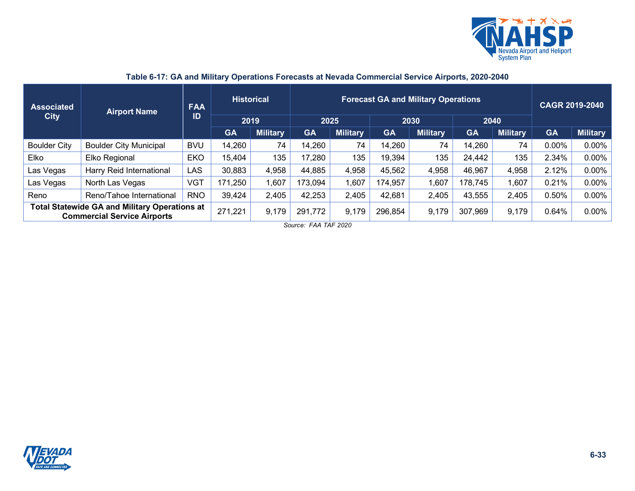

<span id="page-32-0"></span>

| <b>Associated</b><br><b>City</b>                                                           | <b>Airport Name</b>           | <b>FAA</b><br>ID | <b>Historical</b><br>2019 |                 | <b>Forecast GA and Military Operations</b><br>2025<br>2030<br>2040 |                 |           |                 |           |                 | CAGR 2019-2040 |                 |  |
|--------------------------------------------------------------------------------------------|-------------------------------|------------------|---------------------------|-----------------|--------------------------------------------------------------------|-----------------|-----------|-----------------|-----------|-----------------|----------------|-----------------|--|
|                                                                                            |                               |                  | <b>GA</b>                 | <b>Military</b> | <b>GA</b>                                                          | <b>Military</b> | <b>GA</b> | <b>Military</b> | <b>GA</b> | <b>Military</b> | <b>GA</b>      | <b>Military</b> |  |
| <b>Boulder City</b>                                                                        | <b>Boulder City Municipal</b> | <b>BVU</b>       | 14,260                    | 74              | 14,260                                                             | 74              | 14,260    | 74              | 14,260    | 74              | $0.00\%$       | $0.00\%$        |  |
| Elko                                                                                       | Elko Regional                 | <b>EKO</b>       | 15,404                    | 135             | 17,280                                                             | 135             | 19,394    | 135             | 24,442    | 135             | 2.34%          | $0.00\%$        |  |
| Las Vegas                                                                                  | Harry Reid International      | <b>LAS</b>       | 30,883                    | 4,958           | 44,885                                                             | 4,958           | 45,562    | 4,958           | 46,967    | 4,958           | 2.12%          | $0.00\%$        |  |
| Las Vegas                                                                                  | North Las Vegas               | <b>VGT</b>       | 171,250                   | 1,607           | 173,094                                                            | .,607           | 174,957   | 1,607           | 178,745   | 1,607           | 0.21%          | $0.00\%$        |  |
| Reno                                                                                       | Reno/Tahoe International      | <b>RNO</b>       | 39,424                    | 2,405           | 42,253                                                             | 2,405           | 42,681    | 2,405           | 43,555    | 2,405           | 0.50%          | $0.00\%$        |  |
| <b>Total Statewide GA and Military Operations at</b><br><b>Commercial Service Airports</b> |                               | 271,221          | 9,179                     | 291,772         | 9,179                                                              | 296,854         | 9,179     | 307,969         | 9,179     | 0.64%           | $0.00\%$       |                 |  |

## **Table 6-17: GA and Military Operations Forecasts at Nevada Commercial Service Airports, 2020-2040**

*Source: FAA TAF 2020*

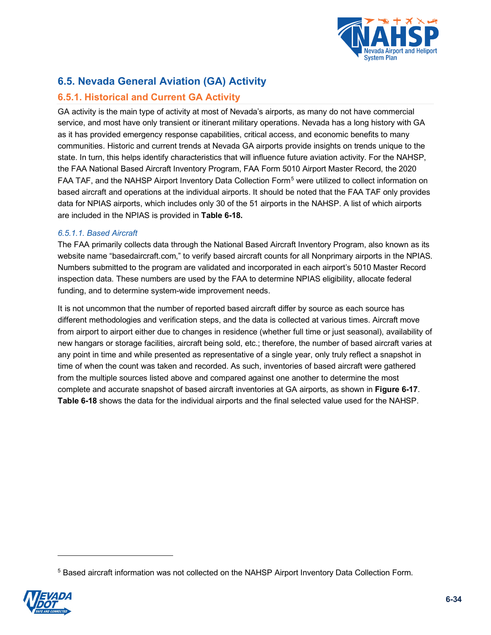

## **6.5. Nevada General Aviation (GA) Activity**

## **6.5.1. Historical and Current GA Activity**

GA activity is the main type of activity at most of Nevada's airports, as many do not have commercial service, and most have only transient or itinerant military operations. Nevada has a long history with GA as it has provided emergency response capabilities, critical access, and economic benefits to many communities. Historic and current trends at Nevada GA airports provide insights on trends unique to the state. In turn, this helps identify characteristics that will influence future aviation activity. For the NAHSP, the FAA National Based Aircraft Inventory Program, FAA Form 5010 Airport Master Record, the 2020 FAA TAF, and the NAHSP Airport Inventory Data Collection Form<sup>[5](#page-33-1)</sup> were utilized to collect information on based aircraft and operations at the individual airports. It should be noted that the FAA TAF only provides data for NPIAS airports, which includes only 30 of the 51 airports in the NAHSP. A list of which airports are included in the NPIAS is provided in **[Table 6-18.](#page-35-0)**

#### <span id="page-33-0"></span>*6.5.1.1. Based Aircraft*

The FAA primarily collects data through the National Based Aircraft Inventory Program, also known as its website name "basedaircraft.com," to verify based aircraft counts for all Nonprimary airports in the NPIAS. Numbers submitted to the program are validated and incorporated in each airport's 5010 Master Record inspection data. These numbers are used by the FAA to determine NPIAS eligibility, allocate federal funding, and to determine system-wide improvement needs.

It is not uncommon that the number of reported based aircraft differ by source as each source has different methodologies and verification steps, and the data is collected at various times. Aircraft move from airport to airport either due to changes in residence (whether full time or just seasonal), availability of new hangars or storage facilities, aircraft being sold, etc.; therefore, the number of based aircraft varies at any point in time and while presented as representative of a single year, only truly reflect a snapshot in time of when the count was taken and recorded. As such, inventories of based aircraft were gathered from the multiple sources listed above and compared against one another to determine the most complete and accurate snapshot of based aircraft inventories at GA airports, as shown in **[Figure 6-17](#page-34-0)**. **[Table 6-18](#page-35-0)** shows the data for the individual airports and the final selected value used for the NAHSP.

<span id="page-33-1"></span><sup>5</sup> Based aircraft information was not collected on the NAHSP Airport Inventory Data Collection Form.

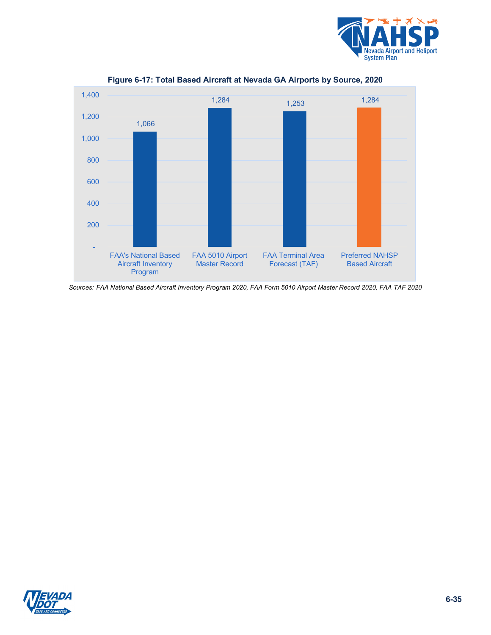

<span id="page-34-0"></span>

**Figure 6-17: Total Based Aircraft at Nevada GA Airports by Source, 2020**

*Sources: FAA National Based Aircraft Inventory Program 2020, FAA Form 5010 Airport Master Record 2020, FAA TAF 2020*

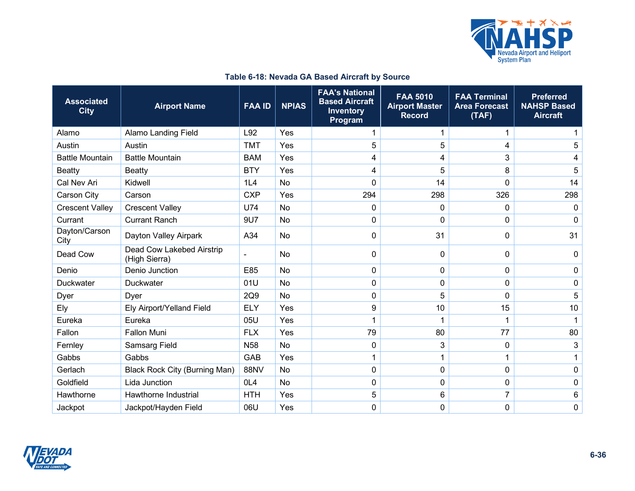

<span id="page-35-0"></span>

| <b>Associated</b><br><b>City</b> | <b>Airport Name</b>                        | <b>FAA ID</b> | <b>NPIAS</b> | <b>FAA's National</b><br><b>Based Aircraft</b><br><b>Inventory</b><br>Program | <b>FAA 5010</b><br><b>Airport Master</b><br><b>Record</b> | <b>FAA Terminal</b><br><b>Area Forecast</b><br>(TAF) | <b>Preferred</b><br><b>NAHSP Based</b><br><b>Aircraft</b> |
|----------------------------------|--------------------------------------------|---------------|--------------|-------------------------------------------------------------------------------|-----------------------------------------------------------|------------------------------------------------------|-----------------------------------------------------------|
| Alamo                            | <b>Alamo Landing Field</b>                 | L92           | Yes          | 1                                                                             | 1                                                         | 1                                                    |                                                           |
| Austin                           | Austin                                     | <b>TMT</b>    | Yes          | 5                                                                             | 5                                                         | 4                                                    | 5                                                         |
| <b>Battle Mountain</b>           | <b>Battle Mountain</b>                     | <b>BAM</b>    | Yes          | 4                                                                             | 4                                                         | 3                                                    | 4                                                         |
| <b>Beatty</b>                    | <b>Beatty</b>                              | <b>BTY</b>    | Yes          | 4                                                                             | 5                                                         | 8                                                    | 5                                                         |
| Cal Nev Ari                      | Kidwell                                    | 1L4           | <b>No</b>    | 0                                                                             | 14                                                        | $\mathbf 0$                                          | 14                                                        |
| Carson City                      | Carson                                     | <b>CXP</b>    | Yes          | 294                                                                           | 298                                                       | 326                                                  | 298                                                       |
| <b>Crescent Valley</b>           | <b>Crescent Valley</b>                     | <b>U74</b>    | <b>No</b>    | 0                                                                             | 0                                                         | $\mathbf 0$                                          | $\mathbf 0$                                               |
| Currant                          | <b>Currant Ranch</b>                       | 9U7           | <b>No</b>    | 0                                                                             | 0                                                         | $\mathbf 0$                                          | 0                                                         |
| Dayton/Carson<br>City            | Dayton Valley Airpark                      | A34           | No           | 0                                                                             | 31                                                        | 0                                                    | 31                                                        |
| Dead Cow                         | Dead Cow Lakebed Airstrip<br>(High Sierra) |               | <b>No</b>    | $\Omega$                                                                      | 0                                                         | 0                                                    | 0                                                         |
| Denio                            | Denio Junction                             | E85           | <b>No</b>    | 0                                                                             | 0                                                         | $\mathbf 0$                                          | 0                                                         |
| <b>Duckwater</b>                 | <b>Duckwater</b>                           | 01U           | <b>No</b>    | 0                                                                             | 0                                                         | $\mathbf 0$                                          | 0                                                         |
| Dyer                             | Dyer                                       | 2Q9           | <b>No</b>    | 0                                                                             | 5                                                         | $\mathbf 0$                                          | 5                                                         |
| Ely                              | Ely Airport/Yelland Field                  | <b>ELY</b>    | Yes          | 9                                                                             | 10                                                        | 15                                                   | 10                                                        |
| Eureka                           | Eureka                                     | 05U           | Yes          | 1                                                                             | 1                                                         | 1                                                    | $\mathbf{1}$                                              |
| Fallon                           | <b>Fallon Muni</b>                         | <b>FLX</b>    | Yes          | 79                                                                            | 80                                                        | 77                                                   | 80                                                        |
| Fernley                          | <b>Samsarg Field</b>                       | <b>N58</b>    | <b>No</b>    | $\mathbf{0}$                                                                  | 3                                                         | $\mathbf 0$                                          | 3                                                         |
| Gabbs                            | Gabbs                                      | GAB           | Yes          |                                                                               | 1                                                         | 1                                                    | 1                                                         |
| Gerlach                          | <b>Black Rock City (Burning Man)</b>       | <b>88NV</b>   | <b>No</b>    | 0                                                                             | 0                                                         | $\mathbf 0$                                          | 0                                                         |
| Goldfield                        | Lida Junction                              | OL4           | No           | 0                                                                             | 0                                                         | $\pmb{0}$                                            | 0                                                         |
| Hawthorne                        | Hawthorne Industrial                       | <b>HTH</b>    | Yes          | 5                                                                             | 6                                                         | 7                                                    | 6                                                         |
| Jackpot                          | Jackpot/Hayden Field                       | 06U           | Yes          | 0                                                                             | 0                                                         | $\mathbf 0$                                          | 0                                                         |

## **Table 6-18: Nevada GA Based Aircraft by Source**

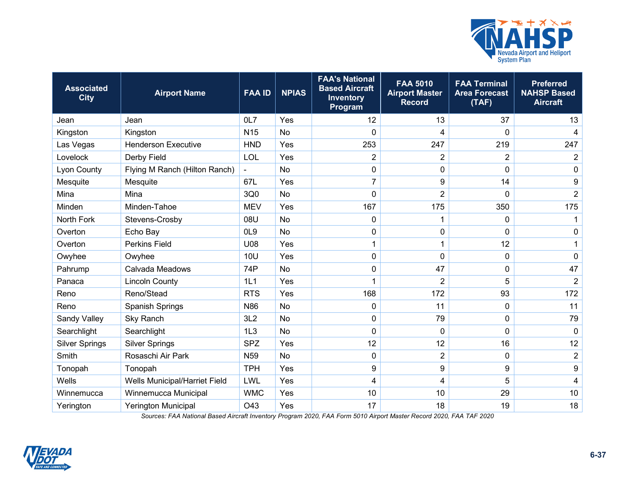

| <b>Associated</b><br><b>City</b> | <b>Airport Name</b>           | <b>FAA ID</b>   | <b>NPIAS</b> | <b>FAA's National</b><br><b>Based Aircraft</b><br>Inventory<br>Program | <b>FAA 5010</b><br><b>Airport Master</b><br><b>Record</b> | <b>FAA Terminal</b><br><b>Area Forecast</b><br>(TAF) | <b>Preferred</b><br><b>NAHSP Based</b><br><b>Aircraft</b> |
|----------------------------------|-------------------------------|-----------------|--------------|------------------------------------------------------------------------|-----------------------------------------------------------|------------------------------------------------------|-----------------------------------------------------------|
| Jean                             | Jean                          | 0L7             | Yes          | 12                                                                     | 13                                                        | 37                                                   | 13                                                        |
| Kingston                         | Kingston                      | N <sub>15</sub> | No           | 0                                                                      | 4                                                         | 0                                                    | $\overline{4}$                                            |
| Las Vegas                        | <b>Henderson Executive</b>    | <b>HND</b>      | Yes          | 253                                                                    | 247                                                       | 219                                                  | 247                                                       |
| Lovelock                         | Derby Field                   | LOL             | Yes          | $\overline{2}$                                                         | 2                                                         | $\overline{2}$                                       | $\overline{c}$                                            |
| Lyon County                      | Flying M Ranch (Hilton Ranch) | $\blacksquare$  | <b>No</b>    | 0                                                                      | 0                                                         | $\mathbf 0$                                          | $\mathbf 0$                                               |
| Mesquite                         | Mesquite                      | 67L             | Yes          | $\overline{7}$                                                         | 9                                                         | 14                                                   | $\boldsymbol{9}$                                          |
| Mina                             | Mina                          | 3Q0             | No           | 0                                                                      | $\overline{2}$                                            | $\mathbf 0$                                          | $\overline{2}$                                            |
| Minden                           | Minden-Tahoe                  | <b>MEV</b>      | Yes          | 167                                                                    | 175                                                       | 350                                                  | 175                                                       |
| North Fork                       | Stevens-Crosby                | 08U             | No           | 0                                                                      | 1                                                         | $\mathbf 0$                                          | 1                                                         |
| Overton                          | Echo Bay                      | OL <sub>9</sub> | No           | 0                                                                      | 0                                                         | $\mathbf 0$                                          | 0                                                         |
| Overton                          | Perkins Field                 | U08             | Yes          | 1                                                                      | $\mathbf{1}$                                              | 12                                                   | 1                                                         |
| Owyhee                           | Owyhee                        | <b>10U</b>      | Yes          | $\mathbf 0$                                                            | 0                                                         | $\mathbf 0$                                          | $\mathbf 0$                                               |
| Pahrump                          | Calvada Meadows               | 74P             | <b>No</b>    | 0                                                                      | 47                                                        | $\boldsymbol{0}$                                     | 47                                                        |
| Panaca                           | <b>Lincoln County</b>         | 1L1             | Yes          |                                                                        | $\overline{2}$                                            | 5                                                    | $\overline{2}$                                            |
| Reno                             | Reno/Stead                    | <b>RTS</b>      | Yes          | 168                                                                    | 172                                                       | 93                                                   | 172                                                       |
| Reno                             | <b>Spanish Springs</b>        | N <sub>86</sub> | <b>No</b>    | $\mathbf{0}$                                                           | 11                                                        | 0                                                    | 11                                                        |
| Sandy Valley                     | Sky Ranch                     | 3L2             | No           | 0                                                                      | 79                                                        | $\boldsymbol{0}$                                     | 79                                                        |
| Searchlight                      | Searchlight                   | 1L3             | <b>No</b>    | 0                                                                      | 0                                                         | 0                                                    | $\mathbf 0$                                               |
| <b>Silver Springs</b>            | <b>Silver Springs</b>         | <b>SPZ</b>      | Yes          | 12                                                                     | 12                                                        | 16                                                   | 12                                                        |
| Smith                            | Rosaschi Air Park             | N <sub>59</sub> | <b>No</b>    | $\mathbf{0}$                                                           | $\overline{2}$                                            | $\mathbf 0$                                          | $\overline{2}$                                            |
| Tonopah                          | Tonopah                       | <b>TPH</b>      | Yes          | 9                                                                      | 9                                                         | $\boldsymbol{9}$                                     | $\boldsymbol{9}$                                          |
| Wells                            | Wells Municipal/Harriet Field | LWL             | Yes          | 4                                                                      | 4                                                         | 5                                                    | 4                                                         |
| Winnemucca                       | Winnemucca Municipal          | <b>WMC</b>      | Yes          | 10                                                                     | 10                                                        | 29                                                   | 10                                                        |
| Yerington                        | <b>Yerington Municipal</b>    | O43             | Yes          | 17                                                                     | 18                                                        | 19                                                   | 18                                                        |

*Sources: FAA National Based Aircraft Inventory Program 2020, FAA Form 5010 Airport Master Record 2020, FAA TAF 2020*

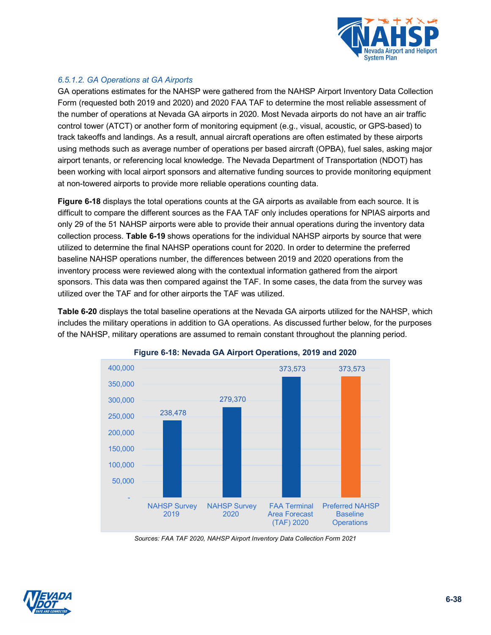

### <span id="page-37-1"></span>*6.5.1.2. GA Operations at GA Airports*

GA operations estimates for the NAHSP were gathered from the NAHSP Airport Inventory Data Collection Form (requested both 2019 and 2020) and 2020 FAA TAF to determine the most reliable assessment of the number of operations at Nevada GA airports in 2020. Most Nevada airports do not have an air traffic control tower (ATCT) or another form of monitoring equipment (e.g., visual, acoustic, or GPS-based) to track takeoffs and landings. As a result, annual aircraft operations are often estimated by these airports using methods such as average number of operations per based aircraft (OPBA), fuel sales, asking major airport tenants, or referencing local knowledge. The Nevada Department of Transportation (NDOT) has been working with local airport sponsors and alternative funding sources to provide monitoring equipment at non-towered airports to provide more reliable operations counting data.

**[Figure 6-18](#page-37-0)** displays the total operations counts at the GA airports as available from each source. It is difficult to compare the different sources as the FAA TAF only includes operations for NPIAS airports and only 29 of the 51 NAHSP airports were able to provide their annual operations during the inventory data collection process. **[Table 6-19](#page-38-0)** shows operations for the individual NAHSP airports by source that were utilized to determine the final NAHSP operations count for 2020. In order to determine the preferred baseline NAHSP operations number, the differences between 2019 and 2020 operations from the inventory process were reviewed along with the contextual information gathered from the airport sponsors. This data was then compared against the TAF. In some cases, the data from the survey was utilized over the TAF and for other airports the TAF was utilized.

<span id="page-37-0"></span>**[Table 6-20](#page-40-0)** displays the total baseline operations at the Nevada GA airports utilized for the NAHSP, which includes the military operations in addition to GA operations. As discussed further below, for the purposes of the NAHSP, military operations are assumed to remain constant throughout the planning period.





*Sources: FAA TAF 2020, NAHSP Airport Inventory Data Collection Form 2021*

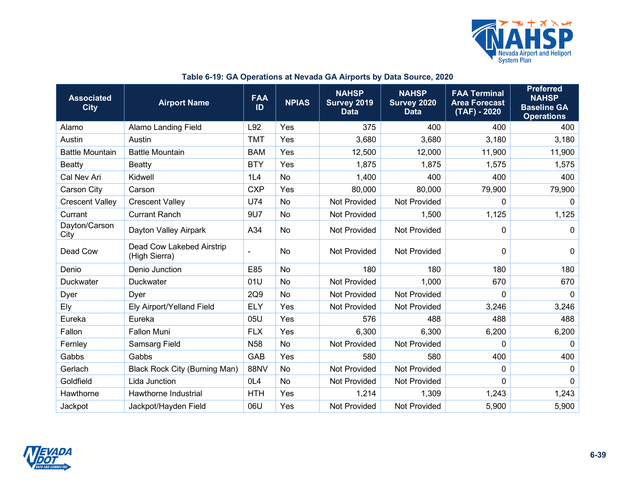

<span id="page-38-0"></span>

| <b>Associated</b><br><b>City</b> | <b>Airport Name</b>                        | <b>FAA</b><br>ID | <b>NPIAS</b> | <b>NAHSP</b><br>Survey 2019<br><b>Data</b> | <b>NAHSP</b><br><b>Survey 2020</b><br><b>Data</b> | <b>FAA Terminal</b><br><b>Area Forecast</b><br>$(TAF) - 2020$ | <b>Preferred</b><br><b>NAHSP</b><br><b>Baseline GA</b><br><b>Operations</b> |
|----------------------------------|--------------------------------------------|------------------|--------------|--------------------------------------------|---------------------------------------------------|---------------------------------------------------------------|-----------------------------------------------------------------------------|
| Alamo                            | <b>Alamo Landing Field</b>                 | L92              | Yes          | 375                                        | 400                                               | 400                                                           | 400                                                                         |
| Austin                           | Austin                                     | <b>TMT</b>       | Yes          | 3,680                                      | 3,680                                             | 3,180                                                         | 3,180                                                                       |
| <b>Battle Mountain</b>           | <b>Battle Mountain</b>                     | <b>BAM</b>       | Yes          | 12,500                                     | 12,000                                            | 11,900                                                        | 11,900                                                                      |
| Beatty                           | <b>Beatty</b>                              | <b>BTY</b>       | Yes          | 1,875                                      | 1,875                                             | 1,575                                                         | 1,575                                                                       |
| Cal Nev Ari                      | Kidwell                                    | 1L4              | <b>No</b>    | 1,400                                      | 400                                               | 400                                                           | 400                                                                         |
| Carson City                      | Carson                                     | <b>CXP</b>       | Yes          | 80,000                                     | 80,000                                            | 79,900                                                        | 79,900                                                                      |
| <b>Crescent Valley</b>           | <b>Crescent Valley</b>                     | U74              | No           | Not Provided                               | Not Provided                                      | 0                                                             | $\Omega$                                                                    |
| Currant                          | <b>Currant Ranch</b>                       | 9U7              | No           | Not Provided                               | 1,500                                             | 1,125                                                         | 1,125                                                                       |
| Dayton/Carson<br>City            | Dayton Valley Airpark                      | A34              | No           | Not Provided                               | <b>Not Provided</b>                               | 0                                                             | 0                                                                           |
| Dead Cow                         | Dead Cow Lakebed Airstrip<br>(High Sierra) |                  | <b>No</b>    | <b>Not Provided</b>                        | <b>Not Provided</b>                               | $\mathbf 0$                                                   | 0                                                                           |
| Denio                            | Denio Junction                             | E85              | <b>No</b>    | 180                                        | 180                                               | 180                                                           | 180                                                                         |
| <b>Duckwater</b>                 | <b>Duckwater</b>                           | 01U              | No           | Not Provided                               | 1,000                                             | 670                                                           | 670                                                                         |
| Dyer                             | Dyer                                       | 2Q9              | No           | Not Provided                               | <b>Not Provided</b>                               | 0                                                             | $\mathbf 0$                                                                 |
| Ely                              | Ely Airport/Yelland Field                  | <b>ELY</b>       | Yes          | Not Provided                               | Not Provided                                      | 3,246                                                         | 3,246                                                                       |
| Eureka                           | Eureka                                     | 05U              | Yes          | 576                                        | 488                                               | 488                                                           | 488                                                                         |
| Fallon                           | <b>Fallon Muni</b>                         | <b>FLX</b>       | Yes          | 6,300                                      | 6,300                                             | 6,200                                                         | 6,200                                                                       |
| Fernley                          | <b>Samsarg Field</b>                       | N <sub>58</sub>  | No           | Not Provided                               | <b>Not Provided</b>                               | $\Omega$                                                      | $\mathbf{0}$                                                                |
| Gabbs                            | Gabbs                                      | GAB              | Yes          | 580                                        | 580                                               | 400                                                           | 400                                                                         |
| Gerlach                          | <b>Black Rock City (Burning Man)</b>       | 88NV             | No           | Not Provided                               | <b>Not Provided</b>                               | 0                                                             | 0                                                                           |
| Goldfield                        | Lida Junction                              | OL4              | No           | Not Provided                               | Not Provided                                      | 0                                                             | $\mathbf 0$                                                                 |
| Hawthorne                        | Hawthorne Industrial                       | <b>HTH</b>       | Yes          | 1,214                                      | 1,309                                             | 1,243                                                         | 1,243                                                                       |
| Jackpot                          | Jackpot/Hayden Field                       | 06U              | Yes          | Not Provided                               | <b>Not Provided</b>                               | 5,900                                                         | 5,900                                                                       |

## **Table 6-19: GA Operations at Nevada GA Airports by Data Source, 2020**

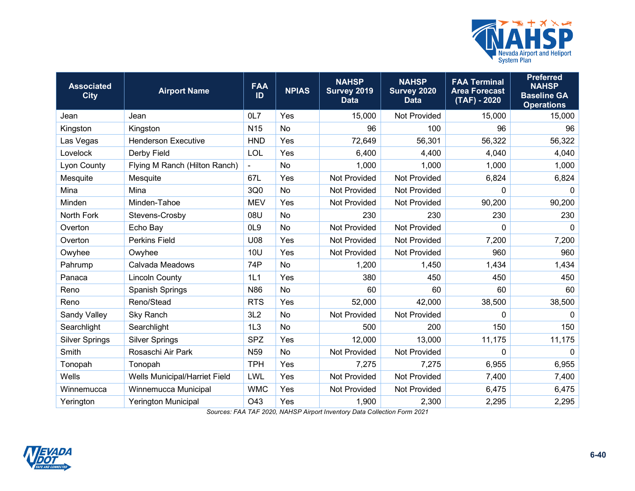

| <b>Associated</b><br><b>City</b> | <b>Airport Name</b>           | <b>FAA</b><br>ID | <b>NPIAS</b> | <b>NAHSP</b><br>Survey 2019<br><b>Data</b> | <b>NAHSP</b><br>Survey 2020<br><b>Data</b> | <b>FAA Terminal</b><br><b>Area Forecast</b><br>$(TAF) - 2020$ | <b>Preferred</b><br><b>NAHSP</b><br><b>Baseline GA</b><br><b>Operations</b> |
|----------------------------------|-------------------------------|------------------|--------------|--------------------------------------------|--------------------------------------------|---------------------------------------------------------------|-----------------------------------------------------------------------------|
| Jean                             | Jean                          | 0L7              | Yes          | 15,000                                     | <b>Not Provided</b>                        | 15,000                                                        | 15,000                                                                      |
| Kingston                         | Kingston                      | N <sub>15</sub>  | <b>No</b>    | 96                                         | 100                                        | 96                                                            | 96                                                                          |
| Las Vegas                        | <b>Henderson Executive</b>    | <b>HND</b>       | Yes          | 72,649                                     | 56,301                                     | 56,322                                                        | 56,322                                                                      |
| Lovelock                         | Derby Field                   | LOL              | Yes          | 6,400                                      | 4,400                                      | 4,040                                                         | 4,040                                                                       |
| Lyon County                      | Flying M Ranch (Hilton Ranch) | ä,               | <b>No</b>    | 1,000                                      | 1,000                                      | 1,000                                                         | 1,000                                                                       |
| Mesquite                         | Mesquite                      | 67L              | Yes          | <b>Not Provided</b>                        | <b>Not Provided</b>                        | 6,824                                                         | 6,824                                                                       |
| Mina                             | Mina                          | 3Q0              | <b>No</b>    | <b>Not Provided</b>                        | Not Provided                               | 0                                                             | 0                                                                           |
| Minden                           | Minden-Tahoe                  | <b>MEV</b>       | Yes          | Not Provided                               | <b>Not Provided</b>                        | 90,200                                                        | 90,200                                                                      |
| North Fork                       | Stevens-Crosby                | 08U              | <b>No</b>    | 230                                        | 230                                        | 230                                                           | 230                                                                         |
| Overton                          | Echo Bay                      | OL <sub>9</sub>  | <b>No</b>    | <b>Not Provided</b>                        | <b>Not Provided</b>                        | 0                                                             | $\mathbf{0}$                                                                |
| Overton                          | <b>Perkins Field</b>          | U08              | Yes          | Not Provided                               | <b>Not Provided</b>                        | 7,200                                                         | 7,200                                                                       |
| Owyhee                           | Owyhee                        | 10U              | Yes          | Not Provided                               | <b>Not Provided</b>                        | 960                                                           | 960                                                                         |
| Pahrump                          | Calvada Meadows               | 74P              | No           | 1,200                                      | 1,450                                      | 1,434                                                         | 1,434                                                                       |
| Panaca                           | <b>Lincoln County</b>         | 1L1              | Yes          | 380                                        | 450                                        | 450                                                           | 450                                                                         |
| Reno                             | Spanish Springs               | N86              | No           | 60                                         | 60                                         | 60                                                            | 60                                                                          |
| Reno                             | Reno/Stead                    | <b>RTS</b>       | Yes          | 52,000                                     | 42,000                                     | 38,500                                                        | 38,500                                                                      |
| Sandy Valley                     | <b>Sky Ranch</b>              | 3L2              | No           | Not Provided                               | Not Provided                               | 0                                                             | $\mathbf 0$                                                                 |
| Searchlight                      | Searchlight                   | 1L3              | No           | 500                                        | 200                                        | 150                                                           | 150                                                                         |
| <b>Silver Springs</b>            | <b>Silver Springs</b>         | <b>SPZ</b>       | Yes          | 12,000                                     | 13,000                                     | 11,175                                                        | 11,175                                                                      |
| Smith                            | Rosaschi Air Park             | N <sub>59</sub>  | No           | Not Provided                               | Not Provided                               | 0                                                             | $\mathbf 0$                                                                 |
| Tonopah                          | Tonopah                       | <b>TPH</b>       | Yes          | 7,275                                      | 7,275                                      | 6,955                                                         | 6,955                                                                       |
| Wells                            | Wells Municipal/Harriet Field | LWL              | Yes          | Not Provided                               | Not Provided                               | 7,400                                                         | 7,400                                                                       |
| Winnemucca                       | Winnemucca Municipal          | <b>WMC</b>       | Yes          | Not Provided                               | Not Provided                               | 6,475                                                         | 6,475                                                                       |
| Yerington                        | <b>Yerington Municipal</b>    | O43              | Yes          | 1,900                                      | 2,300                                      | 2,295                                                         | 2,295                                                                       |

*Sources: FAA TAF 2020, NAHSP Airport Inventory Data Collection Form 2021*

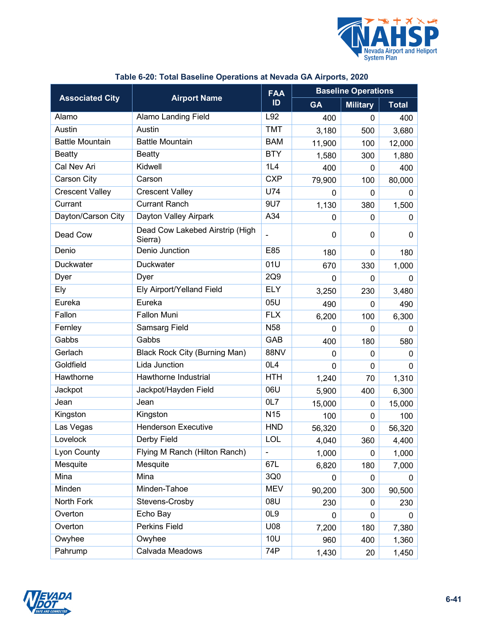

<span id="page-40-0"></span>

|                        |                                            | <b>FAA</b>               |              | <b>Baseline Operations</b> |              |
|------------------------|--------------------------------------------|--------------------------|--------------|----------------------------|--------------|
| <b>Associated City</b> | <b>Airport Name</b>                        | ID                       | <b>GA</b>    | <b>Military</b>            | <b>Total</b> |
| Alamo                  | <b>Alamo Landing Field</b>                 | L92                      | 400          | $\mathbf{0}$               | 400          |
| Austin                 | Austin                                     | <b>TMT</b>               | 3,180        | 500                        | 3,680        |
| <b>Battle Mountain</b> | <b>Battle Mountain</b>                     | <b>BAM</b>               | 11,900       | 100                        | 12,000       |
| <b>Beatty</b>          | <b>Beatty</b>                              | <b>BTY</b>               | 1,580        | 300                        | 1,880        |
| <b>Cal Nev Ari</b>     | Kidwell                                    | 1L4                      | 400          | 0                          | 400          |
| Carson City            | Carson                                     | <b>CXP</b>               | 79,900       | 100                        | 80,000       |
| <b>Crescent Valley</b> | <b>Crescent Valley</b>                     | U74                      | 0            | $\mathbf{0}$               | 0            |
| Currant                | <b>Currant Ranch</b>                       | 9U7                      | 1,130        | 380                        | 1,500        |
| Dayton/Carson City     | Dayton Valley Airpark                      | A34                      | 0            | $\mathbf{0}$               | 0            |
| Dead Cow               | Dead Cow Lakebed Airstrip (High<br>Sierra) | -                        | 0            | 0                          | 0            |
| Denio                  | <b>Denio Junction</b>                      | E85                      | 180          | 0                          | 180          |
| <b>Duckwater</b>       | Duckwater                                  | 01U                      | 670          | 330                        | 1,000        |
| Dyer                   | Dyer                                       | 2Q9                      | 0            | 0                          | 0            |
| Ely                    | Ely Airport/Yelland Field                  | <b>ELY</b>               | 3,250        | 230                        | 3,480        |
| Eureka                 | Eureka                                     | 05U                      | 490          | $\mathbf{0}$               | 490          |
| Fallon                 | <b>Fallon Muni</b>                         | <b>FLX</b>               | 6,200        | 100                        | 6,300        |
| Fernley                | <b>Samsarg Field</b>                       | N <sub>58</sub>          | $\mathbf{0}$ | 0                          | 0            |
| Gabbs                  | Gabbs                                      | GAB                      | 400          | 180                        | 580          |
| Gerlach                | <b>Black Rock City (Burning Man)</b>       | <b>88NV</b>              | 0            | 0                          | $\mathbf{0}$ |
| Goldfield              | Lida Junction                              | OL <sub>4</sub>          | 0            | 0                          | 0            |
| Hawthorne              | Hawthorne Industrial                       | <b>HTH</b>               | 1,240        | 70                         | 1,310        |
| Jackpot                | Jackpot/Hayden Field                       | 06U                      | 5,900        | 400                        | 6,300        |
| Jean                   | Jean                                       | 0L7                      | 15,000       | 0                          | 15,000       |
| Kingston               | Kingston                                   | N <sub>15</sub>          | 100          | $\mathbf 0$                | 100          |
| Las Vegas              | <b>Henderson Executive</b>                 | <b>HND</b>               | 56,320       | 0                          | 56,320       |
| Lovelock               | Derby Field                                | LOL                      | 4,040        | 360                        | 4,400        |
| Lyon County            | Flying M Ranch (Hilton Ranch)              | $\overline{\phantom{0}}$ | 1,000        | 0                          | 1,000        |
| Mesquite               | Mesquite                                   | 67L                      | 6,820        | 180                        | 7,000        |
| Mina                   | Mina                                       | 3Q0                      | 0            | 0                          | 0            |
| Minden                 | Minden-Tahoe                               | <b>MEV</b>               | 90,200       | 300                        | 90,500       |
| North Fork             | Stevens-Crosby                             | 08U                      | 230          | 0                          | 230          |
| Overton                | Echo Bay                                   | OL <sub>9</sub>          | 0            | 0                          | 0            |
| Overton                | Perkins Field                              | U08                      | 7,200        | 180                        | 7,380        |
| Owyhee                 | Owyhee                                     | <b>10U</b>               | 960          | 400                        | 1,360        |
| Pahrump                | Calvada Meadows                            | 74P                      | 1,430        | 20                         | 1,450        |

## **Table 6-20: Total Baseline Operations at Nevada GA Airports, 2020**

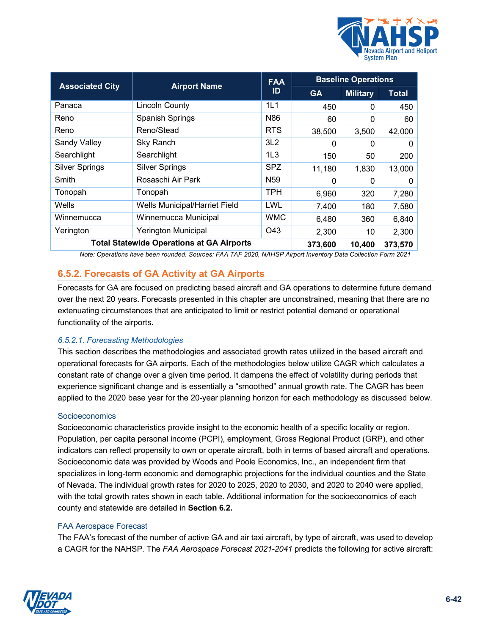

|                                                  |                               | <b>FAA</b>      | <b>Baseline Operations</b> |                 |              |  |  |
|--------------------------------------------------|-------------------------------|-----------------|----------------------------|-----------------|--------------|--|--|
| <b>Associated City</b>                           | <b>Airport Name</b>           |                 | <b>GA</b>                  | <b>Military</b> | <b>Total</b> |  |  |
| Panaca                                           | <b>Lincoln County</b>         | 1L1             | 450                        | 0               | 450          |  |  |
| Reno                                             | Spanish Springs               | N86             | 60                         | 0               | 60           |  |  |
| Reno                                             | Reno/Stead                    | <b>RTS</b>      | 38,500                     | 3,500           | 42,000       |  |  |
| Sandy Valley                                     | Sky Ranch                     | 3L2             | $\Omega$                   | 0               | 0            |  |  |
| Searchlight                                      | Searchlight                   | 1L3             | 150                        | 50              | 200          |  |  |
| <b>Silver Springs</b>                            | <b>Silver Springs</b>         | <b>SPZ</b>      | 11,180                     | 1,830           | 13,000       |  |  |
| Smith                                            | Rosaschi Air Park             | N <sub>59</sub> | $\Omega$                   | 0               | $\mathbf{0}$ |  |  |
| Tonopah                                          | Tonopah                       | TPH             | 6,960                      | 320             | 7,280        |  |  |
| Wells                                            | Wells Municipal/Harriet Field | LWL             | 7,400                      | 180             | 7,580        |  |  |
| Winnemucca                                       | Winnemucca Municipal          | <b>WMC</b>      | 6,480                      | 360             | 6,840        |  |  |
| Yerington                                        | <b>Yerington Municipal</b>    | O43             | 2,300                      | 10              | 2,300        |  |  |
| <b>Total Statewide Operations at GA Airports</b> | 373,600                       | 10,400          | 373,570                    |                 |              |  |  |

*Note: Operations have been rounded. Sources: FAA TAF 2020, NAHSP Airport Inventory Data Collection Form 2021*

## **6.5.2. Forecasts of GA Activity at GA Airports**

Forecasts for GA are focused on predicting based aircraft and GA operations to determine future demand over the next 20 years. Forecasts presented in this chapter are unconstrained, meaning that there are no extenuating circumstances that are anticipated to limit or restrict potential demand or operational functionality of the airports.

#### <span id="page-41-0"></span>*6.5.2.1. Forecasting Methodologies*

This section describes the methodologies and associated growth rates utilized in the based aircraft and operational forecasts for GA airports. Each of the methodologies below utilize CAGR which calculates a constant rate of change over a given time period. It dampens the effect of volatility during periods that experience significant change and is essentially a "smoothed" annual growth rate. The CAGR has been applied to the 2020 base year for the 20-year planning horizon for each methodology as discussed below.

#### Socioeconomics

Socioeconomic characteristics provide insight to the economic health of a specific locality or region. Population, per capita personal income (PCPI), employment, Gross Regional Product (GRP), and other indicators can reflect propensity to own or operate aircraft, both in terms of based aircraft and operations. Socioeconomic data was provided by Woods and Poole Economics, Inc., an independent firm that specializes in long-term economic and demographic projections for the individual counties and the State of Nevada. The individual growth rates for 2020 to 2025, 2020 to 2030, and 2020 to 2040 were applied, with the total growth rates shown in each table. Additional information for the socioeconomics of each county and statewide are detailed in **Section [6.2.](#page-1-2)**

#### FAA Aerospace Forecast

The FAA's forecast of the number of active GA and air taxi aircraft, by type of aircraft, was used to develop a CAGR for the NAHSP. The *FAA Aerospace Forecast 2021-2041* predicts the following for active aircraft:

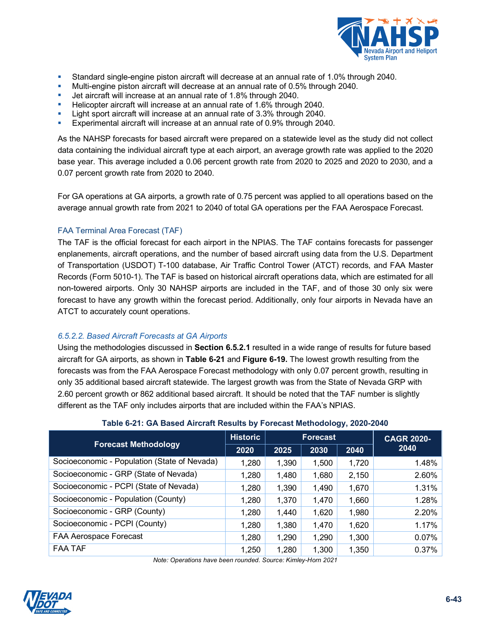

- Standard single-engine piston aircraft will decrease at an annual rate of 1.0% through 2040.
- Multi-engine piston aircraft will decrease at an annual rate of 0.5% through 2040.
- Jet aircraft will increase at an annual rate of 1.8% through 2040.
- Helicopter aircraft will increase at an annual rate of 1.6% through 2040.
- Light sport aircraft will increase at an annual rate of 3.3% through 2040.
- Experimental aircraft will increase at an annual rate of 0.9% through 2040.

As the NAHSP forecasts for based aircraft were prepared on a statewide level as the study did not collect data containing the individual aircraft type at each airport, an average growth rate was applied to the 2020 base year. This average included a 0.06 percent growth rate from 2020 to 2025 and 2020 to 2030, and a 0.07 percent growth rate from 2020 to 2040.

For GA operations at GA airports, a growth rate of 0.75 percent was applied to all operations based on the average annual growth rate from 2021 to 2040 of total GA operations per the FAA Aerospace Forecast.

#### FAA Terminal Area Forecast (TAF)

The TAF is the official forecast for each airport in the NPIAS. The TAF contains forecasts for passenger enplanements, aircraft operations, and the number of based aircraft using data from the U.S. Department of Transportation (USDOT) T-100 database, Air Traffic Control Tower (ATCT) records, and FAA Master Records (Form 5010-1). The TAF is based on historical aircraft operations data, which are estimated for all non-towered airports. Only 30 NAHSP airports are included in the TAF, and of those 30 only six were forecast to have any growth within the forecast period. Additionally, only four airports in Nevada have an ATCT to accurately count operations.

#### *6.5.2.2. Based Aircraft Forecasts at GA Airports*

Using the methodologies discussed in **Section [6.5.2.1](#page-41-0)** resulted in a wide range of results for future based aircraft for GA airports, as shown in **[Table 6-21](#page-42-0)** and **[Figure 6-19.](#page-43-0)** The lowest growth resulting from the forecasts was from the FAA Aerospace Forecast methodology with only 0.07 percent growth, resulting in only 35 additional based aircraft statewide. The largest growth was from the State of Nevada GRP with 2.60 percent growth or 862 additional based aircraft. It should be noted that the TAF number is slightly different as the TAF only includes airports that are included within the FAA's NPIAS.

## **Table 6-21: GA Based Aircraft Results by Forecast Methodology, 2020-2040**

<span id="page-42-0"></span>

|                                              | <b>Historic</b> | <b>Forecast</b> |       |       | <b>CAGR 2020-</b> |  |
|----------------------------------------------|-----------------|-----------------|-------|-------|-------------------|--|
| <b>Forecast Methodology</b>                  | 2020            | 2025            | 2030  | 2040  | 2040              |  |
| Socioeconomic - Population (State of Nevada) | 1,280           | 1,390           | 1,500 | 1,720 | 1.48%             |  |
| Socioeconomic - GRP (State of Nevada)        | 1,280           | 1,480           | 1,680 | 2,150 | 2.60%             |  |
| Socioeconomic - PCPI (State of Nevada)       | 1,280           | 1,390           | 1,490 | 1,670 | 1.31%             |  |
| Socioeconomic - Population (County)          | 1,280           | 1,370           | 1,470 | 1,660 | 1.28%             |  |
| Socioeconomic - GRP (County)                 | 1,280           | 1,440           | 1,620 | 1,980 | 2.20%             |  |
| Socioeconomic - PCPI (County)                | 1,280           | 1,380           | 1,470 | 1,620 | 1.17%             |  |
| FAA Aerospace Forecast                       | 1,280           | 1,290           | 1,290 | 1,300 | 0.07%             |  |
| FAA TAF                                      | 1,250           | 1,280           | 1,300 | 1,350 | $0.37\%$          |  |

*Note: Operations have been rounded. Source: Kimley-Horn 2021*

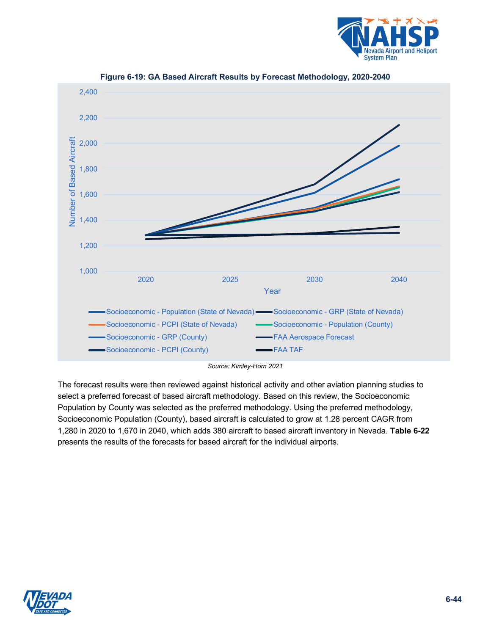

<span id="page-43-0"></span>

**Figure 6-19: GA Based Aircraft Results by Forecast Methodology, 2020-2040**

*Source: Kimley-Horn 2021*

The forecast results were then reviewed against historical activity and other aviation planning studies to select a preferred forecast of based aircraft methodology. Based on this review, the Socioeconomic Population by County was selected as the preferred methodology. Using the preferred methodology, Socioeconomic Population (County), based aircraft is calculated to grow at 1.28 percent CAGR from 1,280 in 2020 to 1,670 in 2040, which adds 380 aircraft to based aircraft inventory in Nevada. **[Table 6-22](#page-44-0)** presents the results of the forecasts for based aircraft for the individual airports.

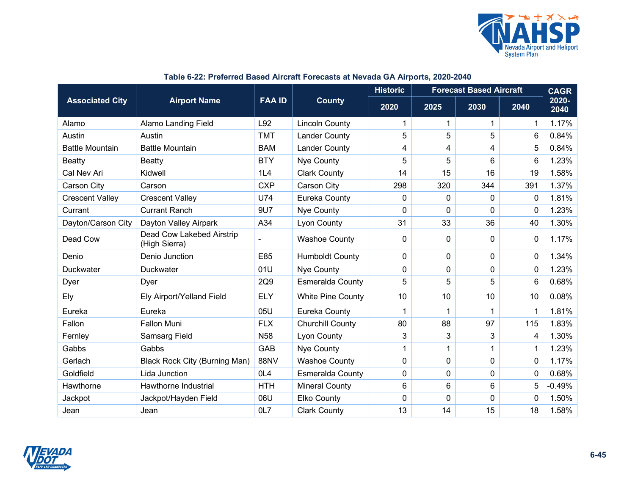

<span id="page-44-0"></span>

|                        |                                            |                 |                          | <b>Historic</b><br><b>Forecast Based Aircraft</b> |              |          |                | <b>CAGR</b>   |
|------------------------|--------------------------------------------|-----------------|--------------------------|---------------------------------------------------|--------------|----------|----------------|---------------|
| <b>Associated City</b> | <b>Airport Name</b>                        | <b>FAA ID</b>   | <b>County</b><br>2020    |                                                   | 2025         | 2030     | 2040           | 2020-<br>2040 |
| Alamo                  | <b>Alamo Landing Field</b>                 | L92             | <b>Lincoln County</b>    | 1                                                 | 1            | 1        | $\mathbf 1$    | 1.17%         |
| Austin                 | Austin                                     | <b>TMT</b>      | <b>Lander County</b>     | 5                                                 | 5            | 5        | 6              | 0.84%         |
| <b>Battle Mountain</b> | <b>Battle Mountain</b>                     | <b>BAM</b>      | <b>Lander County</b>     | 4                                                 | 4            | 4        | 5              | 0.84%         |
| Beatty                 | <b>Beatty</b>                              | <b>BTY</b>      | Nye County               | 5                                                 | 5            | 6        | 6              | 1.23%         |
| Cal Nev Ari            | Kidwell                                    | 1L4             | <b>Clark County</b>      | 14                                                | 15           | 16       | 19             | 1.58%         |
| Carson City            | Carson                                     | <b>CXP</b>      | <b>Carson City</b>       | 298                                               | 320          | 344      | 391            | 1.37%         |
| <b>Crescent Valley</b> | <b>Crescent Valley</b>                     | <b>U74</b>      | Eureka County            | 0                                                 | $\mathbf{0}$ | $\Omega$ | $\Omega$       | 1.81%         |
| Currant                | <b>Currant Ranch</b>                       | 9U7             | Nye County               | 0                                                 | $\mathbf 0$  | 0        | $\mathbf{0}$   | 1.23%         |
| Dayton/Carson City     | Dayton Valley Airpark                      | A34             | Lyon County              | 31                                                | 33           | 36       | 40             | 1.30%         |
| Dead Cow               | Dead Cow Lakebed Airstrip<br>(High Sierra) |                 | <b>Washoe County</b>     | 0                                                 | $\mathbf{0}$ | 0        | $\mathbf{0}$   | 1.17%         |
| Denio                  | Denio Junction                             | E85             | <b>Humboldt County</b>   | 0                                                 | $\mathbf 0$  | 0        | 0              | 1.34%         |
| <b>Duckwater</b>       | Duckwater                                  | 01U             | Nye County               | 0                                                 | $\mathbf 0$  | 0        | $\Omega$       | 1.23%         |
| Dyer                   | Dyer                                       | 2Q9             | <b>Esmeralda County</b>  | 5                                                 | 5            | 5        | 6              | 0.68%         |
| Ely                    | Ely Airport/Yelland Field                  | <b>ELY</b>      | <b>White Pine County</b> | 10                                                | 10           | 10       | 10             | 0.08%         |
| Eureka                 | Eureka                                     | 05U             | Eureka County            | 1                                                 | 1            | 1        |                | 1.81%         |
| Fallon                 | Fallon Muni                                | <b>FLX</b>      | <b>Churchill County</b>  | 80                                                | 88           | 97       | 115            | 1.83%         |
| Fernley                | <b>Samsarg Field</b>                       | <b>N58</b>      | <b>Lyon County</b>       | 3                                                 | 3            | 3        | $\overline{4}$ | 1.30%         |
| Gabbs                  | Gabbs                                      | GAB             | Nye County               | 1                                                 | 1            | 1        |                | 1.23%         |
| Gerlach                | <b>Black Rock City (Burning Man)</b>       | <b>88NV</b>     | <b>Washoe County</b>     | 0                                                 | $\mathbf 0$  | 0        | 0              | 1.17%         |
| Goldfield              | Lida Junction                              | OL <sub>4</sub> | Esmeralda County         | 0                                                 | 0            | 0        | 0              | 0.68%         |
| Hawthorne              | Hawthorne Industrial                       | <b>HTH</b>      | <b>Mineral County</b>    | 6                                                 | 6            | 6        | 5              | $-0.49%$      |
| Jackpot                | Jackpot/Hayden Field                       | 06U             | Elko County              | 0                                                 | $\mathbf 0$  | 0        | $\mathbf{0}$   | 1.50%         |
| Jean                   | Jean                                       | OL7             | <b>Clark County</b>      | 13                                                | 14           | 15       | 18             | 1.58%         |

## **Table 6-22: Preferred Based Aircraft Forecasts at Nevada GA Airports, 2020-2040**

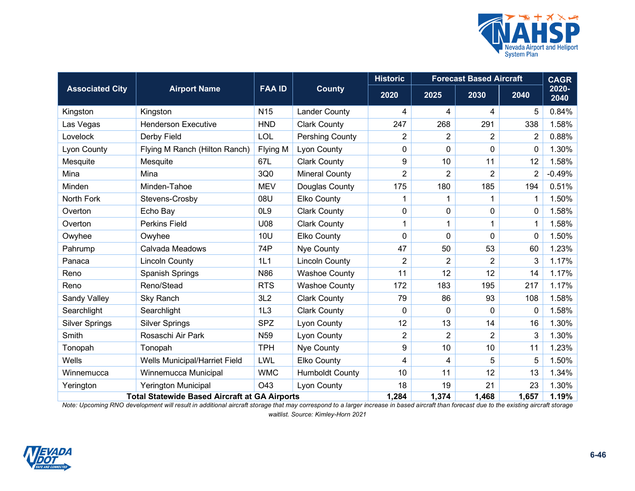

|                                                      |                               |                 |                        | <b>Historic</b> | <b>Forecast Based Aircraft</b> |                |                | <b>CAGR</b>   |
|------------------------------------------------------|-------------------------------|-----------------|------------------------|-----------------|--------------------------------|----------------|----------------|---------------|
| <b>Associated City</b>                               | <b>Airport Name</b>           | <b>FAA ID</b>   | <b>County</b>          | 2020            | 2025                           | 2030           | 2040           | 2020-<br>2040 |
| Kingston                                             | Kingston                      | N <sub>15</sub> | <b>Lander County</b>   | 4               | 4                              | 4              | 5              | 0.84%         |
| Las Vegas                                            | <b>Henderson Executive</b>    | <b>HND</b>      | <b>Clark County</b>    | 247             | 268                            | 291            | 338            | 1.58%         |
| Lovelock                                             | Derby Field                   | LOL             | Pershing County        | $\overline{2}$  | $\overline{2}$                 | 2              | $\overline{2}$ | 0.88%         |
| Lyon County                                          | Flying M Ranch (Hilton Ranch) | Flying M        | Lyon County            | 0               | 0                              | 0              | $\mathbf{0}$   | 1.30%         |
| Mesquite                                             | Mesquite                      | 67L             | <b>Clark County</b>    | 9               | 10                             | 11             | 12             | 1.58%         |
| Mina                                                 | Mina                          | 3Q0             | <b>Mineral County</b>  | $\overline{2}$  | $\overline{2}$                 | $\overline{2}$ | $\overline{2}$ | $-0.49%$      |
| Minden                                               | Minden-Tahoe                  | <b>MEV</b>      | Douglas County         | 175             | 180                            | 185            | 194            | 0.51%         |
| North Fork                                           | Stevens-Crosby                | 08U             | Elko County            | 1               | 1                              | $\mathbf 1$    | 1              | 1.50%         |
| Overton                                              | Echo Bay                      | OL <sub>9</sub> | <b>Clark County</b>    | 0               | 0                              | 0              | $\mathbf{0}$   | 1.58%         |
| Overton                                              | <b>Perkins Field</b>          | U08             | <b>Clark County</b>    | 1               | 1                              | 1              | 1              | 1.58%         |
| Owyhee                                               | Owyhee                        | <b>10U</b>      | <b>Elko County</b>     | 0               | $\mathbf 0$                    | 0              | $\Omega$       | 1.50%         |
| Pahrump                                              | Calvada Meadows               | 74P             | <b>Nye County</b>      | 47              | 50                             | 53             | 60             | 1.23%         |
| Panaca                                               | <b>Lincoln County</b>         | 1L1             | <b>Lincoln County</b>  | 2               | $\overline{2}$                 | 2              | 3              | 1.17%         |
| Reno                                                 | <b>Spanish Springs</b>        | N86             | <b>Washoe County</b>   | 11              | 12                             | 12             | 14             | 1.17%         |
| Reno                                                 | Reno/Stead                    | <b>RTS</b>      | <b>Washoe County</b>   | 172             | 183                            | 195            | 217            | 1.17%         |
| Sandy Valley                                         | Sky Ranch                     | 3L2             | <b>Clark County</b>    | 79              | 86                             | 93             | 108            | 1.58%         |
| Searchlight                                          | Searchlight                   | 1L3             | <b>Clark County</b>    | 0               | 0                              | 0              | 0              | 1.58%         |
| <b>Silver Springs</b>                                | <b>Silver Springs</b>         | <b>SPZ</b>      | Lyon County            | 12              | 13                             | 14             | 16             | 1.30%         |
| Smith                                                | Rosaschi Air Park             | N <sub>59</sub> | <b>Lyon County</b>     | $\overline{2}$  | $\overline{2}$                 | $\overline{2}$ | 3              | 1.30%         |
| Tonopah                                              | Tonopah                       | <b>TPH</b>      | Nye County             | 9               | 10                             | 10             | 11             | 1.23%         |
| Wells                                                | Wells Municipal/Harriet Field | <b>LWL</b>      | <b>Elko County</b>     | $\overline{4}$  | 4                              | 5              | 5              | 1.50%         |
| Winnemucca                                           | Winnemucca Municipal          | <b>WMC</b>      | <b>Humboldt County</b> | 10              | 11                             | 12             | 13             | 1.34%         |
| Yerington                                            | <b>Yerington Municipal</b>    | O43             | Lyon County            | 18              | 19                             | 21             | 23             | 1.30%         |
| <b>Total Statewide Based Aircraft at GA Airports</b> |                               |                 | 1,284                  | 1,374           | 1,468                          | 1,657          | 1.19%          |               |

*Note: Upcoming RNO development will result in additional aircraft storage that may correspond to a larger increase in based aircraft than forecast due to the existing aircraft storage waitlist. Source: Kimley-Horn 2021*

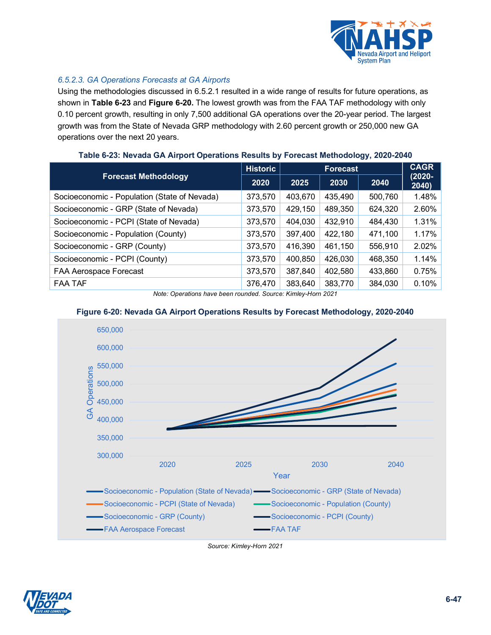

## *6.5.2.3. GA Operations Forecasts at GA Airports*

Using the methodologies discussed in [6.5.2.1](#page-41-0) resulted in a wide range of results for future operations, as shown in **[Table 6-23](#page-46-0)** and **[Figure 6-20.](#page-46-1)** The lowest growth was from the FAA TAF methodology with only 0.10 percent growth, resulting in only 7,500 additional GA operations over the 20-year period. The largest growth was from the State of Nevada GRP methodology with 2.60 percent growth or 250,000 new GA operations over the next 20 years.

<span id="page-46-0"></span>

|                                              | <b>Historic</b> | <b>Forecast</b> |         |         | <b>CAGR</b>        |  |
|----------------------------------------------|-----------------|-----------------|---------|---------|--------------------|--|
| <b>Forecast Methodology</b>                  | 2020            | 2025            | 2030    | 2040    | $(2020 -$<br>2040) |  |
| Socioeconomic - Population (State of Nevada) | 373,570         | 403,670         | 435,490 | 500,760 | 1.48%              |  |
| Socioeconomic - GRP (State of Nevada)        | 373,570         | 429,150         | 489,350 | 624,320 | 2.60%              |  |
| Socioeconomic - PCPI (State of Nevada)       | 373,570         | 404,030         | 432,910 | 484,430 | 1.31%              |  |
| Socioeconomic - Population (County)          | 373,570         | 397,400         | 422,180 | 471,100 | 1.17%              |  |
| Socioeconomic - GRP (County)                 | 373,570         | 416,390         | 461,150 | 556,910 | 2.02%              |  |
| Socioeconomic - PCPI (County)                | 373,570         | 400,850         | 426,030 | 468,350 | 1.14%              |  |
| FAA Aerospace Forecast                       | 373,570         | 387,840         | 402,580 | 433,860 | 0.75%              |  |
| <b>FAA TAF</b>                               | 376,470         | 383,640         | 383,770 | 384,030 | 0.10%              |  |

#### **Table 6-23: Nevada GA Airport Operations Results by Forecast Methodology, 2020-2040**

*Note: Operations have been rounded. Source: Kimley-Horn 2021*

#### **Figure 6-20: Nevada GA Airport Operations Results by Forecast Methodology, 2020-2040**

<span id="page-46-1"></span>

*Source: Kimley-Horn 2021*

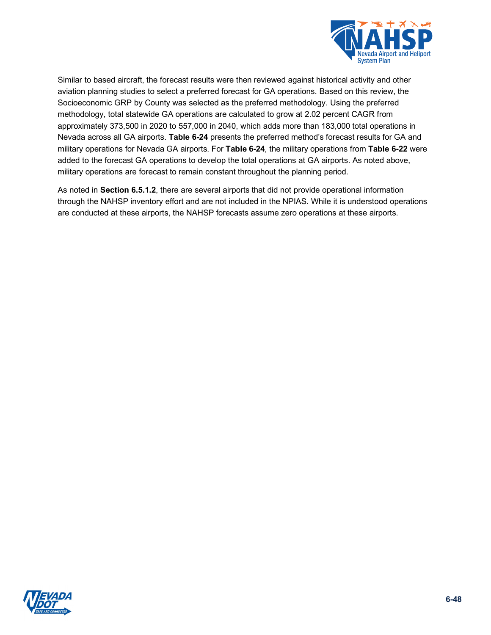

Similar to based aircraft, the forecast results were then reviewed against historical activity and other aviation planning studies to select a preferred forecast for GA operations. Based on this review, the Socioeconomic GRP by County was selected as the preferred methodology. Using the preferred methodology, total statewide GA operations are calculated to grow at 2.02 percent CAGR from approximately 373,500 in 2020 to 557,000 in 2040, which adds more than 183,000 total operations in Nevada across all GA airports. **[Table 6-24](#page-48-0)** presents the preferred method's forecast results for GA and military operations for Nevada GA airports. For **[Table 6-24](#page-48-0)**, the military operations from **[Table 6-22](#page-44-0)** were added to the forecast GA operations to develop the total operations at GA airports. As noted above, military operations are forecast to remain constant throughout the planning period.

As noted in **Section [6.5.1.2](#page-37-1)**, there are several airports that did not provide operational information through the NAHSP inventory effort and are not included in the NPIAS. While it is understood operations are conducted at these airports, the NAHSP forecasts assume zero operations at these airports.

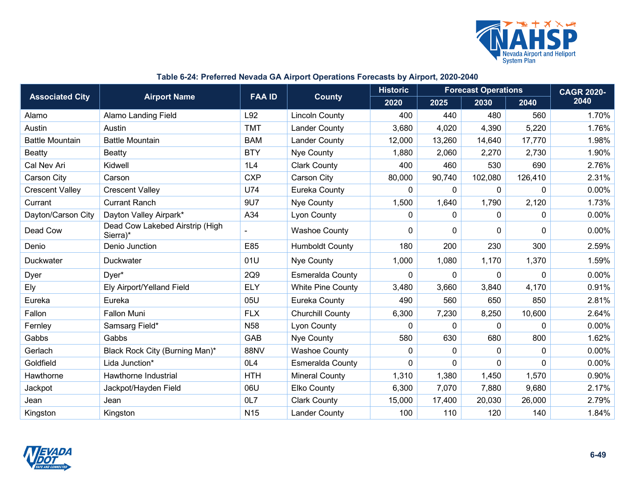

## **Table 6-24: Preferred Nevada GA Airport Operations Forecasts by Airport, 2020-2040**

<span id="page-48-0"></span>

|                        |                                             | <b>FAA ID</b>   |                          | <b>Historic</b><br><b>Forecast Operations</b> |          |              | <b>CAGR 2020-</b> |       |
|------------------------|---------------------------------------------|-----------------|--------------------------|-----------------------------------------------|----------|--------------|-------------------|-------|
| <b>Associated City</b> | <b>Airport Name</b>                         |                 | <b>County</b>            | 2020                                          | 2025     | 2030         | 2040              | 2040  |
| Alamo                  | Alamo Landing Field                         | L92             | <b>Lincoln County</b>    | 400                                           | 440      | 480          | 560               | 1.70% |
| Austin                 | Austin                                      | <b>TMT</b>      | <b>Lander County</b>     | 3,680                                         | 4,020    | 4,390        | 5,220             | 1.76% |
| <b>Battle Mountain</b> | <b>Battle Mountain</b>                      | <b>BAM</b>      | <b>Lander County</b>     | 12,000                                        | 13,260   | 14,640       | 17,770            | 1.98% |
| Beatty                 | <b>Beatty</b>                               | <b>BTY</b>      | Nye County               | 1,880                                         | 2,060    | 2,270        | 2,730             | 1.90% |
| Cal Nev Ari            | Kidwell                                     | 1L4             | <b>Clark County</b>      | 400                                           | 460      | 530          | 690               | 2.76% |
| Carson City            | Carson                                      | <b>CXP</b>      | Carson City              | 80,000                                        | 90,740   | 102,080      | 126,410           | 2.31% |
| <b>Crescent Valley</b> | <b>Crescent Valley</b>                      | U74             | Eureka County            | 0                                             | 0        | 0            | $\mathbf{0}$      | 0.00% |
| Currant                | <b>Currant Ranch</b>                        | 9U7             | Nye County               | 1,500                                         | 1,640    | 1,790        | 2,120             | 1.73% |
| Dayton/Carson City     | Dayton Valley Airpark*                      | A34             | Lyon County              | 0                                             | 0        | 0            | 0                 | 0.00% |
| Dead Cow               | Dead Cow Lakebed Airstrip (High<br>Sierra)* | ÷               | <b>Washoe County</b>     | 0                                             | 0        | 0            | 0                 | 0.00% |
| Denio                  | Denio Junction                              | E85             | <b>Humboldt County</b>   | 180                                           | 200      | 230          | 300               | 2.59% |
| Duckwater              | Duckwater                                   | 01U             | Nye County               | 1,000                                         | 1,080    | 1,170        | 1,370             | 1.59% |
| Dyer                   | Dyer*                                       | 2Q9             | Esmeralda County         | $\mathbf{0}$                                  | 0        | $\mathbf 0$  | $\mathbf{0}$      | 0.00% |
| Ely                    | Ely Airport/Yelland Field                   | <b>ELY</b>      | <b>White Pine County</b> | 3,480                                         | 3,660    | 3,840        | 4,170             | 0.91% |
| Eureka                 | Eureka                                      | 05U             | Eureka County            | 490                                           | 560      | 650          | 850               | 2.81% |
| Fallon                 | <b>Fallon Muni</b>                          | <b>FLX</b>      | <b>Churchill County</b>  | 6,300                                         | 7,230    | 8,250        | 10,600            | 2.64% |
| Fernley                | Samsarg Field*                              | <b>N58</b>      | Lyon County              | 0                                             | 0        | $\mathbf 0$  | 0                 | 0.00% |
| Gabbs                  | Gabbs                                       | GAB             | Nye County               | 580                                           | 630      | 680          | 800               | 1.62% |
| Gerlach                | Black Rock City (Burning Man)*              | <b>88NV</b>     | <b>Washoe County</b>     | 0                                             | 0        | $\mathbf{0}$ | $\mathbf{0}$      | 0.00% |
| Goldfield              | Lida Junction*                              | OL4             | <b>Esmeralda County</b>  | $\mathbf{0}$                                  | $\Omega$ | $\mathbf 0$  | $\Omega$          | 0.00% |
| Hawthorne              | Hawthorne Industrial                        | <b>HTH</b>      | <b>Mineral County</b>    | 1,310                                         | 1,380    | 1,450        | 1,570             | 0.90% |
| Jackpot                | Jackpot/Hayden Field                        | 06U             | Elko County              | 6,300                                         | 7,070    | 7,880        | 9,680             | 2.17% |
| Jean                   | Jean                                        | OL7             | <b>Clark County</b>      | 15,000                                        | 17,400   | 20,030       | 26,000            | 2.79% |
| Kingston               | Kingston                                    | N <sub>15</sub> | <b>Lander County</b>     | 100                                           | 110      | 120          | 140               | 1.84% |

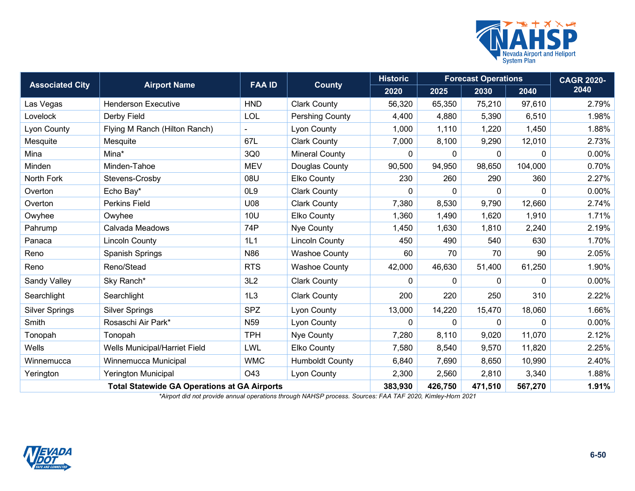

| <b>Associated City</b>                              |                               | <b>FAA ID</b>   |                        | <b>Historic</b> | <b>Forecast Operations</b> | <b>CAGR 2020-</b> |              |          |
|-----------------------------------------------------|-------------------------------|-----------------|------------------------|-----------------|----------------------------|-------------------|--------------|----------|
|                                                     | <b>Airport Name</b>           |                 | <b>County</b>          | 2020            | 2025                       | 2030              | 2040         | 2040     |
| Las Vegas                                           | <b>Henderson Executive</b>    | <b>HND</b>      | <b>Clark County</b>    | 56,320          | 65,350                     | 75,210            | 97,610       | 2.79%    |
| Lovelock                                            | Derby Field                   | <b>LOL</b>      | Pershing County        | 4,400           | 4,880                      | 5,390             | 6,510        | 1.98%    |
| Lyon County                                         | Flying M Ranch (Hilton Ranch) |                 | Lyon County            | 1,000           | 1,110                      | 1,220             | 1,450        | 1.88%    |
| Mesquite                                            | Mesquite                      | 67L             | <b>Clark County</b>    | 7,000           | 8,100                      | 9,290             | 12,010       | 2.73%    |
| Mina                                                | Mina*                         | 3Q0             | <b>Mineral County</b>  | $\mathbf{0}$    | $\Omega$                   | $\mathbf{0}$      | 0            | 0.00%    |
| Minden                                              | Minden-Tahoe                  | <b>MEV</b>      | Douglas County         | 90,500          | 94,950                     | 98,650            | 104,000      | 0.70%    |
| North Fork                                          | Stevens-Crosby                | 08U             | <b>Elko County</b>     | 230             | 260                        | 290               | 360          | 2.27%    |
| Overton                                             | Echo Bay*                     | OL <sub>9</sub> | <b>Clark County</b>    | $\mathbf{0}$    | $\Omega$                   | $\mathbf{0}$      | $\Omega$     | $0.00\%$ |
| Overton                                             | <b>Perkins Field</b>          | U08             | <b>Clark County</b>    | 7,380           | 8,530                      | 9,790             | 12,660       | 2.74%    |
| Owyhee                                              | Owyhee                        | <b>10U</b>      | Elko County            | 1,360           | 1,490                      | 1,620             | 1,910        | 1.71%    |
| Pahrump                                             | Calvada Meadows               | 74P             | Nye County             | 1,450           | 1,630                      | 1,810             | 2,240        | 2.19%    |
| Panaca                                              | <b>Lincoln County</b>         | 1L1             | <b>Lincoln County</b>  | 450             | 490                        | 540               | 630          | 1.70%    |
| Reno                                                | Spanish Springs               | N86             | <b>Washoe County</b>   | 60              | 70                         | 70                | 90           | 2.05%    |
| Reno                                                | Reno/Stead                    | <b>RTS</b>      | <b>Washoe County</b>   | 42,000          | 46,630                     | 51,400            | 61,250       | 1.90%    |
| Sandy Valley                                        | Sky Ranch*                    | 3L2             | <b>Clark County</b>    | 0               | $\Omega$                   | 0                 | $\mathbf{0}$ | 0.00%    |
| Searchlight                                         | Searchlight                   | 1L3             | <b>Clark County</b>    | 200             | 220                        | 250               | 310          | 2.22%    |
| <b>Silver Springs</b>                               | <b>Silver Springs</b>         | <b>SPZ</b>      | Lyon County            | 13,000          | 14,220                     | 15,470            | 18,060       | 1.66%    |
| Smith                                               | Rosaschi Air Park*            | N <sub>59</sub> | Lyon County            | 0               | $\Omega$                   | $\mathbf{0}$      | $\Omega$     | 0.00%    |
| Tonopah                                             | Tonopah                       | <b>TPH</b>      | Nye County             | 7,280           | 8,110                      | 9,020             | 11,070       | 2.12%    |
| <b>Wells</b>                                        | Wells Municipal/Harriet Field | LWL             | <b>Elko County</b>     | 7,580           | 8,540                      | 9,570             | 11,820       | 2.25%    |
| Winnemucca                                          | Winnemucca Municipal          | <b>WMC</b>      | <b>Humboldt County</b> | 6,840           | 7,690                      | 8,650             | 10,990       | 2.40%    |
| Yerington                                           | <b>Yerington Municipal</b>    | O43             | Lyon County            | 2,300           | 2,560                      | 2,810             | 3,340        | 1.88%    |
| <b>Total Statewide GA Operations at GA Airports</b> |                               |                 | 383,930                | 426,750         | 471,510                    | 567,270           | 1.91%        |          |

*\*Airport did not provide annual operations through NAHSP process. Sources: FAA TAF 2020, Kimley-Horn 2021*

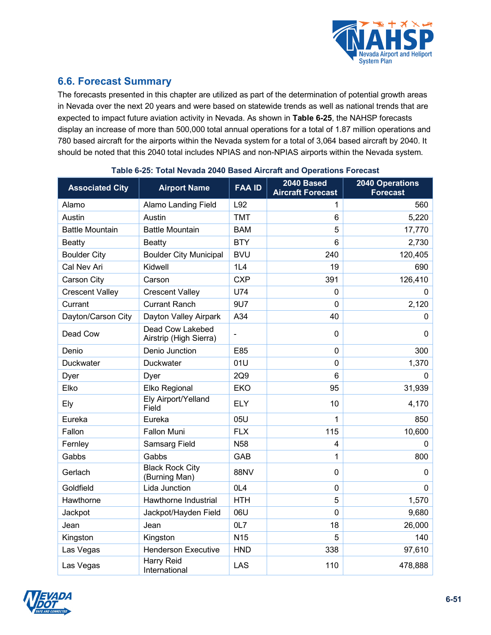

## **6.6. Forecast Summary**

The forecasts presented in this chapter are utilized as part of the determination of potential growth areas in Nevada over the next 20 years and were based on statewide trends as well as national trends that are expected to impact future aviation activity in Nevada. As shown in **[Table 6-25](#page-50-0)**, the NAHSP forecasts display an increase of more than 500,000 total annual operations for a total of 1.87 million operations and 780 based aircraft for the airports within the Nevada system for a total of 3,064 based aircraft by 2040. It should be noted that this 2040 total includes NPIAS and non-NPIAS airports within the Nevada system.

<span id="page-50-0"></span>

| <b>Associated City</b> | <b>Airport Name</b>                        | <b>FAA ID</b>  | 2040 Based<br><b>Aircraft Forecast</b> | <b>2040 Operations</b><br><b>Forecast</b> |
|------------------------|--------------------------------------------|----------------|----------------------------------------|-------------------------------------------|
| Alamo                  | <b>Alamo Landing Field</b>                 | L92            | 1                                      | 560                                       |
| Austin                 | Austin                                     | <b>TMT</b>     | 6                                      | 5,220                                     |
| <b>Battle Mountain</b> | <b>Battle Mountain</b>                     | <b>BAM</b>     | 5                                      | 17,770                                    |
| <b>Beatty</b>          | <b>Beatty</b>                              | <b>BTY</b>     | 6                                      | 2,730                                     |
| <b>Boulder City</b>    | <b>Boulder City Municipal</b>              | <b>BVU</b>     | 240                                    | 120,405                                   |
| Cal Nev Ari            | Kidwell                                    | 1L4            | 19                                     | 690                                       |
| Carson City            | Carson                                     | <b>CXP</b>     | 391                                    | 126,410                                   |
| <b>Crescent Valley</b> | <b>Crescent Valley</b>                     | U74            | $\overline{0}$                         | $\Omega$                                  |
| Currant                | <b>Currant Ranch</b>                       | 9U7            | $\overline{0}$                         | 2,120                                     |
| Dayton/Carson City     | Dayton Valley Airpark                      | A34            | 40                                     | 0                                         |
| Dead Cow               | Dead Cow Lakebed<br>Airstrip (High Sierra) | $\blacksquare$ | $\mathbf{0}$                           | 0                                         |
| Denio                  | Denio Junction                             | E85            | $\Omega$                               | 300                                       |
| Duckwater              | Duckwater                                  | 01U            | $\overline{0}$                         | 1,370                                     |
| Dyer                   | Dyer                                       | 2Q9            | 6                                      | 0                                         |
| Elko                   | Elko Regional                              | <b>EKO</b>     | 95                                     | 31,939                                    |
| Ely                    | Ely Airport/Yelland<br>Field               | <b>ELY</b>     | 10                                     | 4,170                                     |
| Eureka                 | Eureka                                     | 05U            | 1                                      | 850                                       |
| Fallon                 | <b>Fallon Muni</b>                         | <b>FLX</b>     | 115                                    | 10,600                                    |
| Fernley                | <b>Samsarg Field</b>                       | <b>N58</b>     | 4                                      | 0                                         |
| Gabbs                  | Gabbs                                      | <b>GAB</b>     | 1                                      | 800                                       |
| Gerlach                | <b>Black Rock City</b><br>(Burning Man)    | <b>88NV</b>    | $\mathbf{0}$                           | 0                                         |
| Goldfield              | Lida Junction                              | OL4            | $\mathbf 0$                            | $\mathbf 0$                               |
| Hawthorne              | Hawthorne Industrial                       | <b>HTH</b>     | 5                                      | 1,570                                     |
| Jackpot                | Jackpot/Hayden Field                       | 06U            | $\overline{0}$                         | 9,680                                     |
| Jean                   | Jean                                       | OL7            | 18                                     | 26,000                                    |
| Kingston               | Kingston                                   | <b>N15</b>     | 5                                      | 140                                       |
| Las Vegas              | <b>Henderson Executive</b>                 | <b>HND</b>     | 338                                    | 97,610                                    |
| Las Vegas              | Harry Reid<br>International                | LAS            | 110                                    | 478,888                                   |

#### **Table 6-25: Total Nevada 2040 Based Aircraft and Operations Forecast**

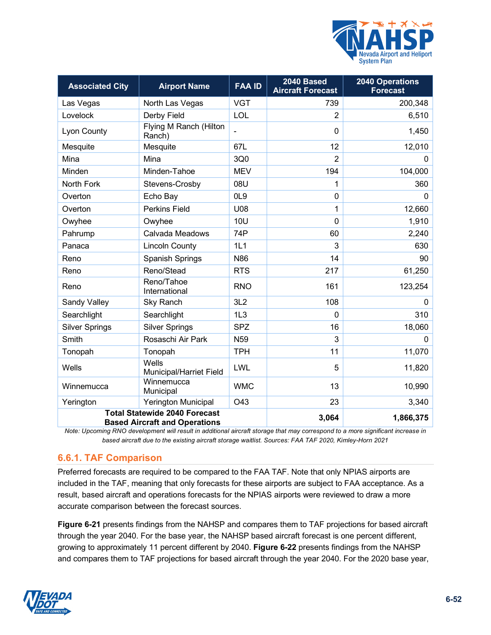

| <b>Associated City</b> | <b>Airport Name</b>                                                          | <b>FAA ID</b>   | 2040 Based<br><b>Aircraft Forecast</b> | <b>2040 Operations</b><br><b>Forecast</b> |
|------------------------|------------------------------------------------------------------------------|-----------------|----------------------------------------|-------------------------------------------|
| Las Vegas              | North Las Vegas                                                              | <b>VGT</b>      | 739                                    | 200,348                                   |
| Lovelock               | Derby Field                                                                  | LOL             | $\overline{2}$                         | 6,510                                     |
| Lyon County            | Flying M Ranch (Hilton<br>Ranch)                                             |                 | 0                                      | 1,450                                     |
| Mesquite               | Mesquite                                                                     | 67L             | 12                                     | 12,010                                    |
| Mina                   | Mina                                                                         | 3Q0             | $\overline{2}$                         | $\mathbf{0}$                              |
| Minden                 | Minden-Tahoe                                                                 | <b>MEV</b>      | 194                                    | 104,000                                   |
| North Fork             | Stevens-Crosby                                                               | 08U             | 1                                      | 360                                       |
| Overton                | Echo Bay                                                                     | OL <sub>9</sub> | $\mathbf 0$                            | $\mathbf{0}$                              |
| Overton                | <b>Perkins Field</b>                                                         | U08             | 1                                      | 12,660                                    |
| Owyhee                 | Owyhee                                                                       | <b>10U</b>      | $\mathbf{0}$                           | 1,910                                     |
| Pahrump                | Calvada Meadows                                                              | 74P             | 60                                     | 2,240                                     |
| Panaca                 | <b>Lincoln County</b>                                                        | 1L1             | 3                                      | 630                                       |
| Reno                   | <b>Spanish Springs</b>                                                       | N86             | 14                                     | 90                                        |
| Reno                   | Reno/Stead                                                                   | <b>RTS</b>      | 217                                    | 61,250                                    |
| Reno                   | Reno/Tahoe<br>International                                                  | <b>RNO</b>      | 161                                    | 123,254                                   |
| Sandy Valley           | Sky Ranch                                                                    | 3L2             | 108                                    | 0                                         |
| Searchlight            | Searchlight                                                                  | 1L3             | 0                                      | 310                                       |
| <b>Silver Springs</b>  | <b>Silver Springs</b>                                                        | <b>SPZ</b>      | 16                                     | 18,060                                    |
| Smith                  | Rosaschi Air Park                                                            | N <sub>59</sub> | 3                                      | $\mathbf{0}$                              |
| Tonopah                | Tonopah                                                                      | <b>TPH</b>      | 11                                     | 11,070                                    |
| Wells                  | Wells<br>Municipal/Harriet Field                                             | LWL             | 5                                      | 11,820                                    |
| Winnemucca             | Winnemucca<br>Municipal                                                      | <b>WMC</b>      | 13                                     | 10,990                                    |
| Yerington              | <b>Yerington Municipal</b>                                                   | O43             | 23                                     | 3,340                                     |
|                        | <b>Total Statewide 2040 Forecast</b><br><b>Based Aircraft and Operations</b> |                 | 3,064                                  | 1,866,375                                 |

*Note: Upcoming RNO development will result in additional aircraft storage that may correspond to a more significant increase in based aircraft due to the existing aircraft storage waitlist. Sources: FAA TAF 2020, Kimley-Horn 2021*

## **6.6.1. TAF Comparison**

<span id="page-51-0"></span>Preferred forecasts are required to be compared to the FAA TAF. Note that only NPIAS airports are included in the TAF, meaning that only forecasts for these airports are subject to FAA acceptance. As a result, based aircraft and operations forecasts for the NPIAS airports were reviewed to draw a more accurate comparison between the forecast sources.

**[Figure 6-21](#page-51-0)** presents findings from the NAHSP and compares them to TAF projections for based aircraft through the year 2040. For the base year, the NAHSP based aircraft forecast is one percent different, growing to approximately 11 percent different by 2040. **[Figure 6-22](#page-52-0)** presents findings from the NAHSP and compares them to TAF projections for based aircraft through the year 2040. For the 2020 base year,